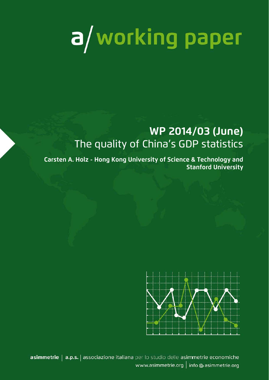# a/working paper

# **WP 2014/03 (June)**  The quality of China's GDP statistics

**Carsten A. Holz - Hong Kong University of Science & Technology and Stanford University** 



asimmetrie | a.p.s. | associazione italiana per lo studio delle asimmetrie economiche www.asimmetrie.org | info @ asimmetrie.org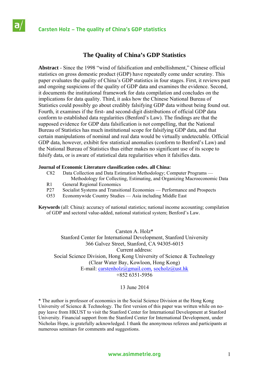# **Carsten Holz – The quality of China's GDP statistics**

# **The Quality of China's GDP Statistics**

**Abstract** - Since the 1998 "wind of falsification and embellishment," Chinese official statistics on gross domestic product (GDP) have repeatedly come under scrutiny. This paper evaluates the quality of China's GDP statistics in four stages. First, it reviews past and ongoing suspicions of the quality of GDP data and examines the evidence. Second, it documents the institutional framework for data compilation and concludes on the implications for data quality. Third, it asks how the Chinese National Bureau of Statistics could possibly go about credibly falsifying GDP data without being found out. Fourth, it examines if the first- and second-digit distributions of official GDP data conform to established data regularities (Benford's Law). The findings are that the supposed evidence for GDP data falsification is not compelling, that the National Bureau of Statistics has much institutional scope for falsifying GDP data, and that certain manipulations of nominal and real data would be virtually undetectable. Official GDP data, however, exhibit few statistical anomalies (conform to Benford's Law) and the National Bureau of Statistics thus either makes no significant use of its scope to falsify data, or is aware of statistical data regularities when it falsifies data.

### **Journal of Economic Literature classification codes. all China:**

- C82 Data Collection and Data Estimation Methodology; Computer Programs —
- Methodology for Collecting, Estimating, and Organizing Macroeconomic Data R1 General Regional Economics
- P27 Socialist Systems and Transitional Economies Performance and Prospects
- O53 Economywide Country Studies Asia including Middle East

**Keywords** (all: China): accuracy of national statistics; national income accounting; compilation of GDP and sectoral value-added, national statistical system; Benford's Law.

Carsten A. Holz\* Stanford Center for International Development, Stanford University 366 Galvez Street, Stanford, CA 94305-6015 Current address: Social Science Division, Hong Kong University of Science & Technology (Clear Water Bay, Kowloon, Hong Kong) E-mail: carstenholz@gmail.com, socholz@ust.hk +852 6351-5956

### 13 June 2014

\* The author is professor of economics in the Social Science Division at the Hong Kong University of Science  $\&$  Technology. The first version of this paper was written while on nopay leave from HKUST to visit the Stanford Center for International Development at Stanford University. Financial support from the Stanford Center for International Development, under Nicholas Hope, is gratefully acknowledged. I thank the anonymous referees and participants at numerous seminars for comments and suggestions.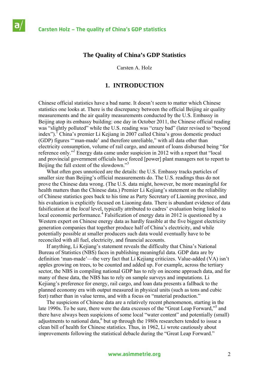# **The Quality of China's GDP Statistics**

Carsten A. Holz

# **1. INTRODUCTION**

Chinese official statistics have a bad name. It doesn't seem to matter which Chinese statistics one looks at. There is the discrepancy between the official Beijing air quality measurements and the air quality measurements conducted by the U.S. Embassy in Beijing atop its embassy building: one day in October 2011, the Chinese official reading was "slightly polluted" while the U.S. reading was "crazy bad" (later revised to "beyond index").<sup>T</sup> China's premier Li Kejiang in 2007 called China's gross domestic product (GDP) figures "'man-made' and therefore unreliable," with all data other than electricity consumption, volume of rail cargo, and amount of loans disbursed being "for reference only."<sup>2</sup> Energy data came under suspicion in 2012 with a report that "local and provincial government officials have forced [power] plant managers not to report to Beijing the full extent of the slowdown."<sup>3</sup>

 What often goes unnoticed are the details: the U.S. Embassy tracks particles of smaller size than Beijing's official measurements do. The U.S. readings thus do not prove the Chinese data wrong. (The U.S. data might, however, be more meaningful for health matters than the Chinese data.) Premier Li Kejiang's statement on the reliability of Chinese statistics goes back to his time as Party Secretary of Liaoning province, and his evaluation is explicitly focused on Liaoning data. There is abundant evidence of data falsification at the *local* level, typically attributed to cadres' evaluation being linked to local economic performance.<sup>4</sup> Falsification of energy data in 2012 is questioned by a Western expert on Chinese energy data as hardly feasible at the five biggest electricity generation companies that together produce half of China's electricity, and while potentially possible at smaller producers such data would eventually have to be reconciled with all fuel, electricity, and financial accounts.

 If anything, Li Kejiang's statement reveals the difficulty that China's National Bureau of Statistics (NBS) faces in publishing meaningful data. GDP data are by definition 'man-made'—the very fact that Li Kejiang criticizes. Value-added (VA) isn't apples growing on trees, to be counted and added up. For example, across the tertiary sector, the NBS in compiling national GDP has to rely on income approach data, and for many of these data, the NBS has to rely on sample surveys and imputations. Li Kejiang's preference for energy, rail cargo, and loan data presents a fallback to the planned economy era with output measured in physical units (such as tons and cubic feet) rather than in value terms, and with a focus on "material production."

 The suspicions of Chinese data are a relatively recent phenomenon, starting in the late 1990s. To be sure, there were the data excesses of the "Great Leap Forward,"<sup>5</sup> and there have always been suspicions of some local "water content" and potentially (small) adjustments to national data, $6$  but up through the 1980s researchers tended to issue a clean bill of health for Chinese statistics. Thus, in 1962, Li wrote cautiously about improvements following the statistical debacle during the "Great Leap Forward."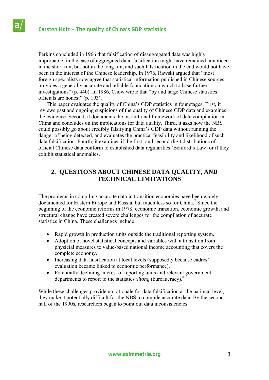Perkins concluded in 1966 that falsification of disaggregated data was highly improbable; in the case of aggregated data, falsification might have remained unnoticed in the short run, but not in the long run, and such falsification in the end would not have been in the interest of the Chinese leadership. In 1976, Rawski argued that "most foreign specialists now agree that statistical information published in Chinese sources provides a generally accurate and reliable foundation on which to base further investigations" (p. 440). In 1986, Chow wrote that "by and large Chinese statistics officials are honest" (p. 193).

 This paper evaluates the quality of China's GDP statistics in four stages. First, it reviews past and ongoing suspicions of the quality of Chinese GDP data and examines the evidence. Second, it documents the institutional framework of data compilation in China and concludes on the implications for data quality. Third, it asks how the NBS could possibly go about credibly falsifying China's GDP data without running the danger of being detected, and evaluates the practical feasibility and likelihood of such data falsification. Fourth, it examines if the first- and second-digit distributions of official Chinese data conform to established data regularities (Benford's Law) or if they exhibit statistical anomalies.

# **2. QUESTIONS ABOUT CHINESE DATA QUALITY, AND TECHNICAL LIMITATIONS**

The problems in compiling accurate data in transition economies have been widely documented for Eastern Europe and Russia, but much less so for China.<sup>7</sup> Since the beginning of the economic reforms in 1978, economic transition, economic growth, and structural change have created severe challenges for the compilation of accurate statistics in China. These challenges include:

- Rapid growth in production units outside the traditional reporting system.
- Adoption of novel statistical concepts and variables with a transition from physicial measures to value-based national income accounting that covers the complete economy.
- Increasing data falsification at local levels (supposedly because cadres' evaluation became linked to economic performance).
- Potentially declining interest of reporting units and relevant government departments to report to the statistics *xitong* (bureaucracy).<sup>8</sup>

While these challenges provide no rationale for data falsification at the national level, they make it potentially difficult for the NBS to compile accurate data. By the second half of the 1990s, researchers began to point out data inconsistencies.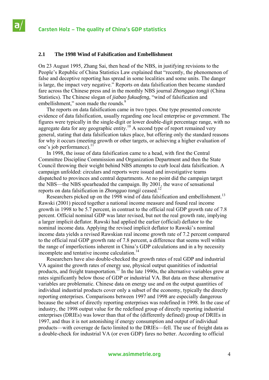### **2.1 The 1998 Wind of Falsification and Embellishment**

On 23 August 1995, Zhang Sai, then head of the NBS, in justifying revisions to the People's Republic of China Statistics Law explained that "recently, the phenomenon of false and deceptive reporting has spread in some localities and some units. The danger is large, the impact very negative." Reports on data falsification then became standard fare across the Chinese press and in the monthly NBS journal *Zhongguo tongji* (China Statistics). The Chinese slogan of *jiabao fukuafeng*, "wind of falsification and embellishment," soon made the rounds.<sup>9</sup>

 The reports on data falsification came in two types. One type presented concrete evidence of data falsification, usually regarding one local enterprise or government. The figures were typically in the single-digit or lower double-digit percentage range, with no aggregate data for any geographic entity.<sup>10</sup> A second type of report remained very general, stating that data falsification takes place, but offering only the standard reasons for why it occurs (meeting growth or other targets, or achieving a higher evaluation of one's job performance). $^{11}$ 

 In 1998, the issue of data falsification came to a head, with first the Central Committee Discipline Commission and Organization Department and then the State Council throwing their weight behind NBS attempts to curb local data falsification. A campaign unfolded: circulars and reports were issued and investigative teams dispatched to provinces and central departments. At no point did the campaign target the NBS—the NBS spearheaded the campaign. By 2001, the wave of sensational reports on data falsification in *Zhongguo tongji* ceased.12

Researchers picked up on the 1998 wind of data falsification and embellishment.<sup>13</sup> Rawski (2001) pieced together a national income measure and found real income growth in 1998 to be 5.7 percent, in contrast to the official real GDP growth rate of 7.8 percent. Official nominal GDP was later revised, but not the real growth rate, implying a larger implicit deflator. Rawski had applied the earlier (official) deflator to the nominal income data. Applying the revised implicit deflator to Rawski's nominal income data yields a revised Rawskian real income growth rate of 7.2 percent compared to the official real GDP growth rate of 7.8 percent, a difference that seems well within the range of imperfections inherent in China's GDP calculations and in a by necessity incomplete and tentative income calculation.<sup>14</sup>

 Researchers have also double-checked the growth rates of real GDP and industrial VA against the growth rates of energy use, physical output quanitities of industrial products, and freight transportation.<sup>15</sup> In the late 1990s, the alternative variables grew at rates significantly below those of GDP or industrial VA. But data on these alternative variables are problematic. Chinese data on energy use and on the output quantities of individual industrial products cover only a subset of the economy, typically the directly reporting enterprises. Comparisons between 1997 and 1998 are especially dangerous because the subset of directly reporting enterprises was redefined in 1998. In the case of industry, the 1998 output value for the redefined group of directly reporting industrial enterprises (DRIEs) was lower than that of the (differently defined) group of DRIEs in 1997, and thus it is not astonishing if energy consumption and output of individual products—with coverage de facto limited to the DRIEs—fell. The use of freight data as a double-check for industrial VA (or even GDP) fares no better. According to official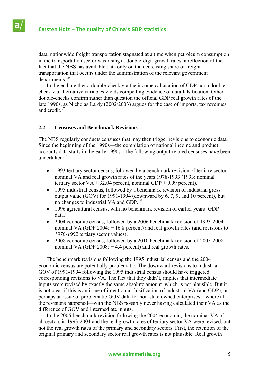data, nationwide freight transportation stagnated at a time when petroleum consumption in the transportation sector was rising at double-digit growth rates, a reflection of the fact that the NBS has available data only on the decreasing share of freight transportation that occurs under the administration of the relevant government departments.<sup>16</sup>

 In the end, neither a double-check via the income calculation of GDP nor a doublecheck via alternative variables yields compelling evidence of data falsification. Other double-checks confirm rather than question the official GDP real growth rates of the late 1990s, as Nicholas Lardy (2002/2003) argues for the case of imports, tax revenues, and credit  $17$ 

### **2.2 Censuses and Benchmark Revisions**

The NBS regularly conducts censuses that may then trigger revisions to economic data. Since the beginning of the 1990s—the compilation of national income and product accounts data starts in the early 1990s—the following output-related censuses have been undertaken:18

- 1993 tertiary sector census, followed by a benchmark revision of tertiary sector nominal VA and real growth rates of the years 1978-1993 (1993: nominal tertiary sector  $VA + 32.04$  percent, nominal GDP + 9.99 percent).
- 1995 industrial census, followed by a benchmark revision of industrial gross output value (GOV) for 1991-1994 (downward by 6, 7, 9, and 10 percent), but no changes to industrial VA and GDP.19
- 1996 agricultural census, with no benchmark revision of earlier years' GDP data.
- 2004 economic census, followed by a 2006 benchmark revision of 1993-2004 nominal VA (GDP 2004:  $+ 16.8$  percent) and real growth rates (and revisions to *1978-1992* tertiary sector values).
- 2008 economic census, followed by a 2010 benchmark revision of 2005-2008 nominal VA (GDP 2008: + 4.4 percent) and real growth rates.

 The benchmark revisions following the 1995 industrial census and the 2004 economic census are potentially problematic. The downward revisions to industrial GOV of 1991-1994 following the 1995 industrial census should have triggered corresponding revisions to VA. The fact that they didn't, implies that intermediate inputs were revised by exactly the same absolute amount, which is not plausible. But it is not clear if this is an issue of intentionial falsification of industrial VA (and GDP), or perhaps an issue of problematic GOV data for non-state owned enterprises—where all the revisions happened—with the NBS possibly never having calculated their VA as the difference of GOV and intermediate inputs.

 In the 2006 benchmark revision following the 2004 economic, the nominal VA of all sectors in 1993-2004 and the real growth rates of tertiary sector VA were revised, but not the real growth rates of the primary and secondary sectors. First, the retention of the original primary and secondary sector real growth rates is not plausible. Real growth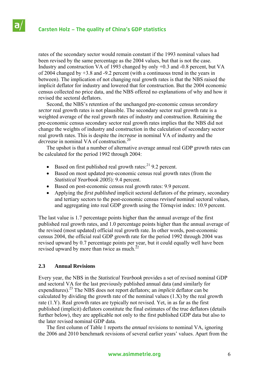rates of the secondary sector would remain constant if the 1993 nominal values had been revised by the same percentage as the 2004 values, but that is not the case. Industry and construction VA of 1993 changed by only +0.3 and -0.8 percent, but VA of 2004 changed by +3.8 and -9.2 percent (with a continuous trend in the years in between). The implication of not changing real growth rates is that the NBS raised the implicit deflator for industry and lowered that for construction. But the 2004 economic census collected no price data, and the NBS offered no explanations of why and how it revised the sectoral deflators.

 Second, the NBS's retention of the unchanged pre-economic census *secondary sector* real growth rates is not plausible. The secondary sector real growth rate is a weighted average of the real growth rates of industry and construction. Retaining the pre-economic census secondary sector real growth rates implies that the NBS did not change the weights of industry and construction in the calculation of secondary sector real growth rates. This is despite the *increase* in nominal VA of industry and the *decrease* in nominal VA of construction.<sup>20</sup>

 The upshot is that a number of alternative average annual real GDP growth rates can be calculated for the period 1992 through 2004:

- $\bullet$  Based on first published real growth rates:<sup>21</sup> 9.2 percent.
- Based on most updated pre-economic census real growth rates (from the *Statistical Yearbook 2005*): 9.4 percent.
- Based on post-economic census real growth rates: 9.9 percent.
- Applying the *first published* implicit sectoral deflators of the primary, secondary and tertiary sectors to the post-economic census *revised* nominal sectoral values, and aggregating into real GDP growth using the Törnqvist index: 10.9 percent.

The last value is 1.7 percentage points higher than the annual average of the first published real growth rates, and 1.0 percentage points higher than the annual average of the revised (most updated) official real growth rate. In other words, post-economic census 2004, the official real GDP growth rate for the period 1992 through 2004 was revised upward by 0.7 percentage points per year, but it could equally well have been revised upward by more than twice as much. $^{22}$ 

# **2.3 Annual Revisions**

Every year, the NBS in the *Statistical Yearbook* provides a set of revised nominal GDP and sectoral VA for the last previously published annual data (and similarly for expenditures).23 The NBS does not report deflators; an *implicit* deflator can be calculated by dividing the growth rate of the nominal values  $(1.X)$  by the real growth rate (1.Y). Real growth rates are typically not revised. Yet, in as far as the first published (implicit) deflators constitute the final estimates of the true deflators (details further below), they are applicable not only to the first published GDP data but also to the later revised nominal GDP data.

 The first column of Table 1 reports the *annual* revisions to nominal VA, ignoring the 2006 and 2010 benchmark revisions of several earlier years' values. Apart from the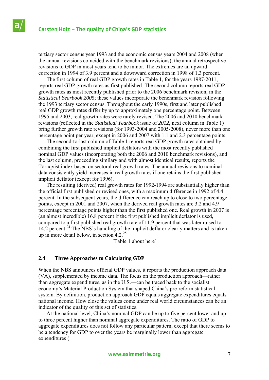tertiary sector census year 1993 and the economic census years 2004 and 2008 (when the annual revisions coincided with the benchmark revisions), the annual retrospective revisions to GDP in most years tend to be minor. The extremes are an upward correction in 1994 of 3.9 percent and a downward correction in 1998 of 1.3 percent.

 The first column of real GDP growth rates in Table 1, for the years 1987-2011, reports real GDP growth rates as first published. The second column reports real GDP growth rates as most recently published prior to the 2006 benchmark revision, in the *Statistical Yearbook 2005*; these values incorporate the benchmark revision following the 1993 tertiary sector census. Throughout the early 1990s, first and later published real GDP growth rates differ by up to approximately one percentage point. Between 1995 and 2003, real growth rates were rarely revised. The 2006 and 2010 benchmark revisions (reflected in the *Statistical Yearbook* issue of *2012*, next column in Table 1) bring further growth rate revisions (for 1993-2004 and 2005-2008), never more than one percentage point per year, except in 2006 and 2007 with 1.1 and 2.3 percentage points.

 The second-to-last column of Table 1 reports real GDP growth rates obtained by combining the first published implicit deflators with the most recently published nominal GDP values (incorporating both the 2006 and 2010 benchmark revisions), and the last column, proceeding similary and with almost identical results, reports the Törnqvist index based on sectoral real growth rates. The annual revisions to nominal data consistently yield increases in real growth rates if one retains the first published implicit deflator (except for 1996).

 The resulting (derived) real growth rates for 1992-1994 are substantially higher than the official first published or revised ones, with a maximum difference in 1992 of 4.4 percent. In the subsequent years, the difference can reach up to close to two percentage points, except in 2001 and 2007, when the derived real growth rates are 3.2 and 4.9 percentage percentage points higher than the first published one. Real growth in 2007 is (an almost incredible) 16.8 percent if the first published implicit deflator is used, compared to a first published real growth rate of 11.9 percent that was later raised to 14.2 percent.<sup>24</sup> The NBS's handling of the implicit deflator clearly matters and is taken up in more detail below, in section  $4.2^{25}$ 

[Table 1 about here]

### **2.4 Three Approaches to Calculating GDP**

When the NBS announces official GDP values, it reports the production approach data (VA), supplemented by income data. The focus on the production approach—rather than aggregate expenditures, as in the U.S.—can be traced back to the socialist economy's Material Production System that shaped China's pre-reform statistical system. By definition, production approach GDP equals aggregate expenditures equals national income. How close the values come under real world circumstances can be an indicator of the quality of this set of statistics.

 At the national level, China's nominal GDP can be up to five percent lower and up to three percent higher than nominal aggregate expenditures. The ratio of GDP to aggregate expenditures does not follow any particular pattern, except that there seems to be a tendency for GDP to over the years be marginally lower than aggregate expenditures (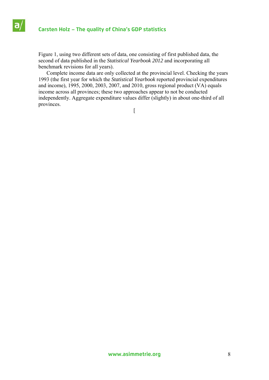Figure 1, using two different sets of data, one consisting of first published data, the second of data published in the *Statistical Yearbook 2012* and incorporating all benchmark revisions for all years).

 Complete income data are only collected at the provincial level. Checking the years 1993 (the first year for which the *Statistical Yearbook* reported provincial expenditures and income), 1995, 2000, 2003, 2007, and 2010, gross regional product (VA) equals income across all provinces; these two approaches appear to not be conducted independently. Aggregate expenditure values differ (slightly) in about one-third of all provinces.

 $\left[ \right]$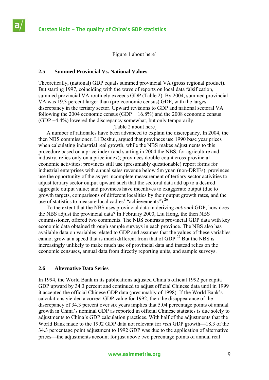Figure 1 about here]

### **2.5 Summed Provincial Vs. National Values**

Theoretically, (national) GDP equals summed provincial VA (gross regional product). But starting 1997, coinciding with the wave of reports on local data falsification, summed provincial VA routinely exceeds GDP (Table 2). By 2004, summed provincial VA was 19.3 percent larger than (pre-economic census) GDP, with the largest discrepancy in the tertiary sector. Upward revisions to GDP and national sectoral VA following the 2004 economic census (GDP +  $16.8\%$ ) and the 2008 economic census (GDP +4.4%) lowered the discrepancy somewhat, but only temporarily.

### [Table 2 about here]

 A number of rationales have been advanced to explain the discrepancy. In 2004, the then NBS commissioner, Li Deshui, argued that provinces use 1990 base year prices when calculating industrial real growth, while the NBS makes adjustments to this procedure based on a price index (and starting in 2004 the NBS, for agriculture and industry, relies only on a price index); provinces double-count cross-provincial economic activities; provinces still use (presumably questionable) report forms for industrial enterprises with annual sales revenue below 5m yuan (non-DRIEs); provinces use the opportunity of the as yet incomplete measurement of tertiary sector activities to adjust tertiary sector output upward such that the sectoral data add up to a desired aggregate output value; and provinces have incentives to exaggerate output (due to growth targets, comparisons of different localities by their output growth rates, and the use of statistics to measure local cadres' "achievements").<sup>26</sup>

 To the extent that the NBS uses provincial data in deriving *national* GDP, how does the NBS adjust the provincial data? In February 2000, Liu Hong, the then NBS commissioner, offered two comments. The NBS contrasts provincial GDP data with key economic data obtained through sample surveys in each province. The NBS also has available data on variables related to GDP and assumes that the values of these variables cannot grow at a speed that is much different from that of  $GDP<sup>27</sup>$  But the NBS is increasingly unlikely to make much use of provincial data and instead relies on the economic censuses, annual data from directly reporting units, and sample surveys.

# **2.6 Alternative Data Series**

In 1994, the World Bank in its publications adjusted China's official 1992 per capita GDP upward by 34.3 percent and continued to adjust official Chinese data until in 1999 it accepted the official Chinese GDP data (presumably of 1998). If the World Bank's calculations yielded a correct GDP value for 1992, then the disappearance of the discrepancy of 34.3 percent over six years implies that 5.04 percentage points of annual growth in China's nominal GDP as reported in official Chinese statistics is due solely to adjustments to China's GDP calculation practices. With half of the adjustments that the World Bank made to the 1992 GDP data not relevant for *real* GDP growth-18.3 of the 34.3 percentage point adjustment to 1992 GDP was due to the application of alternative prices—the adjustments account for just above two percentage points of annual real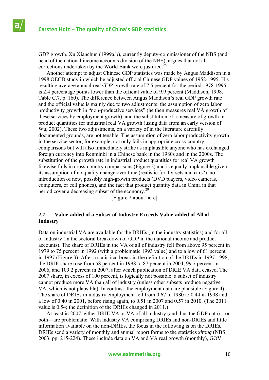GDP growth. Xu Xianchun (1999a,b), currently deputy-commissioner of the NBS (and head of the national income accounts division of the NBS), argues that not all corrections undertaken by the World Bank were justified.<sup>2</sup>

 Another attempt to adjust Chinese GDP statistics was made by Angus Maddison in a 1998 OECD study in which he adjusted official Chinese GDP values of 1952-1995. His resulting average annual real GDP growth rate of 7.5 percent for the period 1978-1995 is 2.4 percentage points lower than the official value of 9.9 percent (Maddison, 1998, Table C.7, p. 160). The difference between Angus Maddison's real GDP growth rate and the official value is mainly due to two adjustments: the assumption of zero labor productivity growth in "non-productive services" (he then measures real VA growth of these services by employment growth), and the substitution of a measure of growth in product quantities for industrial real VA growth (using data from an early version of Wu, 2002). These two adjustments, on a variety of in the literature carefully documented grounds, are not tenable. The assumption of zero labor productivity growth in the service sector, for example, not only fails in appropriate cross-country comparisons but will also immediately strike as implausible anyone who has exchanged foreign currency into Renminbi in a Chinese bank in the 1980s and in the 2000s. The substitution of the growth rate in industrial product quantities for real VA growth likewise fails in cross-country comparisons (Figure 2) and is equally implausible given its assumption of no quality change over time (realistic for TV sets and cars?), no introduction of new, possibly high-growth products (DVD players, video cameras, computers, or cell phones), and the fact that product quantity data in China in that period cover a decreasing subset of the economy.<sup>29</sup>

[Figure 2 about here]

### **2.7 Value-added of a Subset of Industry Exceeds Value-added of All of Industry**

Data on industrial VA are available for the DRIEs (in the industry statistics) and for all of industry (in the sectoral breakdown of GDP in the national income and product accounts). The share of DRIEs in the VA of all of industry fell from above 95 percent in 1979 to 75 percent in 1992 (with a problematic 1993 value) and to a low of 61 percent in 1997 (Figure 3). After a statistical break in the definition of the DRIEs in 1997-1998, the DRIE share rose from 58 percent in 1998 to 87 percent in 2004, 99.7 percent in 2006, and 109.2 percent in 2007, after which publication of DRIE VA data ceased. The 2007 share, in excess of 100 percent, is logically not possible: a subset of industry cannot produce more VA than all of industry (unless other subsets produce negative VA, which is not plausible). In contrast, the employment data are plausible (Figure 4). The share of DRIEs in industry employment fell from 0.67 in 1980 to 0.44 in 1998 and a low of 0.40 in 2001, before rising again, to 0.51 in 2007 and 0.57 in 2010. (The 2011 value is 0.54; the definition of the DRIEs changed in 2011.)

 At least in 2007, either DRIE VA or VA of all industry (and thus the GDP data)—or both—are problematic. With industry VA comprising DRIEs and non-DRIEs and little information available on the non-DRIEs, the focus in the following is on the DRIEs. DRIEs send a variety of monthly and annual report forms to the statistics *xitong* (NBS, 2003, pp. 215-224). These include data on VA and VA real growth (monthly), GOV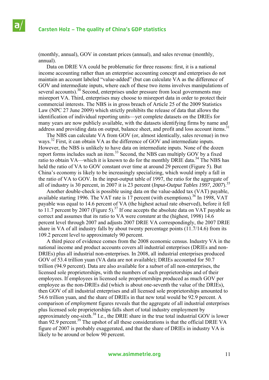(monthly, annual), GOV in constant prices (annual), and sales revenue (monthly, annual).

 Data on DRIE VA could be problematic for three reasons: first, it is a national income accounting rather than an enterprise accounting concept and enterprises do not maintain an account labeled "value-added" (but can calculate VA as the difference of GOV and intermediate inputs, where each of these two items involves manipulations of several accounts).<sup>30</sup> Second, enterprises under pressure from local governments may misreport VA. Third, enterprises may choose to misreport data in order to protect their commercial interests. The NBS is in gross breach of Article 25 of the 2009 Statistics Law (NPC 27 June 2009) which strictly prohibits the release of data that allows the identification of individual reporting units—yet complete datasets on the DRIEs for many years are now publicly available, with the datasets identifying firms by name and address and providing data on output, balance sheet, and profit and loss account items.<sup>31</sup>

 The NBS can calculate VA from GOV (or, almost identically, sales revenue) in two ways.<sup>32</sup> First, it can obtain VA as the difference of GOV and intermediate inputs. However, the NBS is unlikely to have data on intermediate inputs. None of the dozen report forms includes such an item.<sup>33</sup> Second, the NBS can multiply GOV by a fixed ratio to obtain VA—which it is known to do for the monthly DRIE data.<sup>34</sup> The NBS has held the ratio of VA to GOV constant over time at around 29 percent (Figure 5). But China's economy is likely to be increasingly specializing, which would imply a fall in the ratio of VA to GOV. In the input-output table of 1997, the ratio for the aggregate of all of industry is 30 percent, in 2007 it is 23 percent (*Input-Output Tables 1997*, *2007*).35

 Another double-check is possible using data on the value-added tax (VAT) payable, available starting 1996. The VAT rate is 17 percent (with exemptions).<sup>36</sup> In 1998, VAT payable was equal to 14.6 percent of VA (the highest actual rate observed), before it fell to 11.7 percent by 2007 (Figure 5).<sup>37</sup> If one accepts the absolute data on VAT payable as correct and assumes that its ratio to VA were *constant* at the (highest, 1998) 14.6 percent level through 2007 and adjusts 2007 DRIE VA correspondingly, the 2007 DRIE share in VA of all industry falls by about twenty percentage points (11.7/14.6) from its 109.2 percent level to approximately 90 percent.

 A third piece of evidence comes from the 2008 economic census. Industry VA in the national income and product accounts covers all industrial enterprises (DRIEs and non-DRIEs) plus all industrial non-enterprises. In 2008, all industrial enterprises produced GOV of 53.4 trillion yuan (VA data are not available); DRIEs accounted for 50.7 trillion (94.9 percent). Data are also available for a *subset* of all non-enterprises, the licensed sole proprietorships, with the numbers of such proprietorships and of their employees. If employees in licensed sole proprietorships produced as much GOV per employee as the non-DRIEs did (which is about one-seventh the value of the DRIEs), then GOV of all industrial enterprises and all licensed sole proprietorships amounted to 54.6 trillion yuan, and the share of DRIEs in that new total would be 92.9 percent. A comparison of *employment* figures reveals that the aggregate of all industrial enterprises plus licensed sole proprietorships falls short of total industry employment by approximately one-sixth.38 I.e., the DRIE share in the true total industrial GOV is lower than 92.9 percent.<sup>39</sup> The upshot of all these considerations is that the official DRIE VA figure of 2007 is probably exaggerated, and that the share of DRIEs in industry VA is likely to be around or below 90 percent.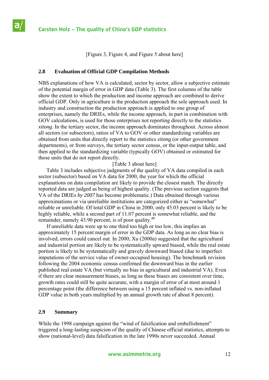[Figure 3, Figure 4, and Figure 5 about here]

# **2.8 Evaluation of Official GDP Compilation Methods**

NBS explanations of how VA is calculated, sector by sector, allow a subjective estimate of the potential margin of error in GDP data (Table 3). The first columns of the table show the extent to which the production and income approach are combined to derive official GDP. Only in agriculture is the production approach the sole approach used. In industry and construction the production approach is applied to one group of enterprises, namely the DRIEs, while the income approach, in part in combination with GOV calculations, is used for those enterprises not reporting directly to the statistics *xitong*. In the tertiary sector, the income approach dominates throughout. Across almost all sectors (or subsectors), ratios of VA to GOV or other standardizing variables are obtained from units that directly report to the statistics *xitong* (or other government departments), or from surveys, the tertiary sector census, or the input-output table, and then applied to the standardizing variable (typically GOV) obtained or estimated for those units that do not report directly.

[Table 3 about here]

 Table 3 includes subjective judgments of the quality of VA data compiled in each sector (subsector) based on VA data for 2000, the year for which the official explanations on data compilation are likely to provide the closest match. The directly reported data are judged as being of highest quality. (The previous section suggests that VA of the DRIEs *by 2007* has become problematic.) Data obtained through various approximations or via unreliable institutions are categorized either as "somewhat" reliable or unreliable. Of total GDP in China in 2000, only 45.03 percent is likely to be highly reliable, while a second part of 11.07 percent is somewhat reliable, and the remainder, namely 43.90 percent, is of poor quality.<sup>40</sup>

 If unreliable data were up to one third too high or too low, this implies an approximately 15 percent margin of error in the GDP data. As long as no clear bias is involved, errors could cancel out. In 2000, Xu (2000a) suggested that the agricultural and industrial portion are likely to be systematically upward biased, while the real estate portion is likely to be systematically and gravely downward biased (due to imperfect imputations of the service value of owner-occupied housing). The benchmark revision following the 2004 economic census confirmed the downward bias in the earlier published real estate VA (but virtually no bias in agricultural and industrial VA). Even if there are clear measurement biases, as long as these biases are consistent over time, growth rates could still be quite accurate, with a margin of error of at most around 1 percentage point (the difference between using a 15 percent inflated vs. non-inflated GDP value in both years multiplied by an annual growth rate of about 8 percent).

# **2.9 Summary**

While the 1998 campaign against the "wind of falsification and embellishment" triggered a long-lasting suspicion of the quality of Chinese official statistics, attempts to show (national-level) data falsification in the late 1990s never succeeded. Annual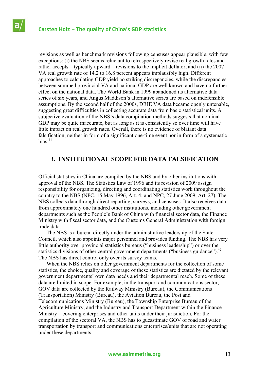revisions as well as benchmark revisions following censuses appear plausible, with few exceptions: (i) the NBS seems reluctant to retrospectively revise real growth rates and rather accepts—typically upward—revisions to the implicit deflator, and (ii) the 2007 VA real growth rate of 14.2 to 16.8 percent appears implausibly high. Different approaches to calculating GDP yield no striking discrepancies, while the discrepancies between summed provincial VA and national GDP are well known and have no further effect on the national data. The World Bank in 1999 abandoned its alternative data series of six years, and Angus Maddison's alternative series are based on indefensible assumptions. By the second half of the 2000s, DRIE VA data became openly untenable, suggesting great difficulties in collecting accurate data from basic statistical units. A subjective evaluation of the NBS's data compilation methods suggests that nominal GDP may be quite inaccurate, but as long as it is consistently so over time will have little impact on real growth rates. Overall, there is no evidence of blatant data falsification, neither in form of a significant one-time event nor in form of a systematic bias $41$ 

# **3. INSTITUTIONAL SCOPE FOR DATA FALSIFICATION**

Official statistics in China are compiled by the NBS and by other institutions with approval of the NBS. The Statistics Law of 1996 and its revision of 2009 assign responsibility for organizing, directing and coordinating statistics work throughout the country to the NBS (NPC, 15 May 1996, Art. 4; and NPC, 27 June 2009, Art. 27). The NBS collects data through direct reporting, surveys, and censuses. It also receives data from approximately one hundred other institutions, including other government departments such as the People's Bank of China with financial sector data, the Finance Ministry with fiscal sector data, and the Customs General Administration with foreign trade data.

 The NBS is a bureau directly under the administrative leadership of the State Council, which also appoints major personnel and provides funding. The NBS has very little authority over provincial statistics bureaus ("business leadership") or over the statistics divisions of other central government departments ("business guidance").<sup>42</sup> The NBS has direct control only over its survey teams.

 When the NBS relies on other government departments for the collection of some statistics, the choice, quality and coverage of these statistics are dictated by the relevant government departments' own data needs and their departmental reach. Some of these data are limited in scope. For example, in the transport and communications sector, GOV data are collected by the Railway Ministry (Bureau), the Communications (Transportation) Ministry (Bureau), the Aviation Bureau, the Post and Telecommunications Ministry (Bureau), the Township Enterprise Bureau of the Agriculture Ministry, and the Industry and Transport Department within the Finance Ministry—covering enterprises and other units under their jurisdiction. For the compilation of the sectoral VA, the NBS has to guesstimate GOV of road and water transportation by transport and communications enterprises/units that are not operating under these departments.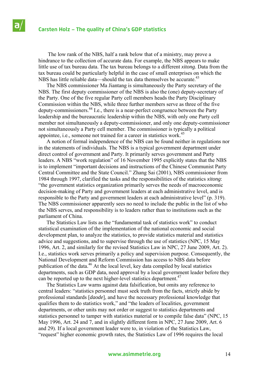The low rank of the NBS, half a rank below that of a ministry, may prove a hindrance to the collection of accurate data. For example, the NBS appears to make little use of tax bureau data. The tax bureau belongs to a different *xitong*. Data from the tax bureau could be particularly helpful in the case of small enterprises on which the NBS has little reliable data—should the tax data themselves be accurate.<sup>43</sup>

 The NBS commissioner Ma Jiantang is simultaneously the Party secretary of the NBS. The first deputy commissioner of the NBS is also the (one) deputy-secretary of the Party. One of the five regular Party cell members heads the Party Disciplinary Commission within the NBS, while three further members serve as three of the five deputy-commissioners.44 I.e., there is a near-perfect congruence between the Party leadership and the bureaucratic leadership within the NBS, with only one Party cell member not simultaneously a deputy-commissioner, and only one deputy-commissioner not simultaneously a Party cell member. The commissioner is typically a political appointee, i.e., someone not trained for a career in statistics work.<sup>45</sup>

 A notion of formal independence of the NBS can be found neither in regulations nor in the statements of individuals. The NBS is a typical government department under direct control of government and Party. It primarily serves government and Party leaders. A NBS "work regulation" of 16 November 1995 explicitly states that the NBS is to implement "important decisions and instructions of the Chinese Communist Party Central Committee and the State Council." Zhang Sai (2001), NBS commissioner from 1984 through 1997, clarified the tasks and the responsibilities of the statistics *xitong*: "the government statistics organization primarily serves the needs of macroeconomic decision-making of Party and government leaders at each administrative level, and is responsible to the Party and government leaders at each administrative level" (p. 319). The NBS commissioner apparently sees no need to include the public in the list of who the NBS serves, and responsibility is to leaders rather than to institutions such as the parliament of China.

 The Statistics Law lists as the "fundamental task of statistics work" to conduct statistical examination of the implementation of the national economic and social development plan, to analyze the statistics, to provide statistics material and statistics advice and suggestions, and to supervise through the use of statistics (NPC, 15 May 1996, Art. 2, and similarly for the revised Statistics Law in NPC, 27 June 2009, Art. 2). I.e., statistics work serves primarily a policy and supervision purpose. Consequently, the National Development and Reform Commission has access to NBS data before publication of the data.46 At the local level, key data compiled by local statistics departments, such as GDP data, need approval by a local government leader before they can be reported up to the next higher-level statistics department.<sup>47</sup>

 The Statistics Law warns against data falsification, but omits any reference to central leaders: "statistics personnel must seek truth from the facts, strictly abide by professional standards [*daode*], and have the necessary professional knowledge that qualifies them to do statistics work," and "the leaders of localities, government departments, or other units may not order or suggest to statistics departments and statistics personnel to tamper with statistics material or to compile false data" (NPC, 15 May 1996, Art. 24 and 7, and in slightly different form in NPC, 27 June 2009, Art. 6 and 29). If a local government leader were to, in violation of the Statistics Law, "request" higher economic growth rates, the Statistics Law of 1996 requires the local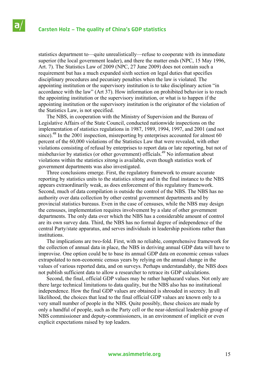statistics department to—quite unrealistically—refuse to cooperate with its immediate superior (the local government leader), and there the matter ends (NPC, 15 May 1996, Art. 7). The Statistics Law of 2009 (NPC, 27 June 2009) does not contain such a requirement but has a much expanded sixth section on legal duties that specifies disciplinary procedures and pecuniary penalties when the law is violated. The appointing institution or the supervisory institution is to take disciplinary action "in accordance with the law" (Art 37). How information on prohibited behavior is to reach the appointing institution or the supervisory institution, or what is to happen if the appointing institution or the supervisory institution is the originator of the violation of the Statistics Law, is not specified.

 The NBS, in cooperation with the Ministry of Supervision and the Bureau of Legislative Affairs of the State Council, conducted nationwide inspections on the implementation of statistics regulations in 1987, 1989, 1994, 1997, and 2001 (and not since).<sup>48</sup> In the 2001 inspection, misreporting by enterprises accounted for almost 60 percent of the 60,000 violations of the Statistics Law that were revealed, with other violations consisting of refusal by enterprises to report data or late reporting, but not of misbehavior by statistics (or other government) officials.49 No information about violations within the statistics *xitong* is available, even though statistics work of government departments was also investigated.

 Three conclusions emerge. First, the regulatory framework to ensure accurate reporting by statistics units to the statistics *xitong* and in the final instance to the NBS appears extraordinarily weak, as does enforcement of this regulatory framework. Second, much of data compilation is outside the control of the NBS. The NBS has no authority over data collection by other central government departments and by provincial statistics bureaus. Even in the case of censuses, while the NBS may design the censuses, implementation requires involvement by a slate of other government departments. The only data over which the NBS has a considerable amount of control are its own survey data. Third, the NBS has no formal degree of independence of the central Party/state apparatus, and serves individuals in leadership positions rather than institutions.

 The implications are two-fold. First, with no reliable, comprehensive framework for the collection of annual data in place, the NBS in deriving annual GDP data will have to improvise. One option could be to base its annual GDP data on economic census values extrapolated to non-economic census years by relying on the annual change in the values of various reported data, and on surveys. Perhaps understandably, the NBS does not publish sufficient data to allow a researcher to retrace its GDP calculations.

 Second, the final, official GDP values may be rather haphazard values. Not only are there large technical limitations to data quality, but the NBS also has no institutional independence. How the final GDP values are obtained is shrouded in secrecy. In all likelihood, the choices that lead to the final official GDP values are known only to a very small number of people in the NBS. Quite possibly, these choices are made by only a handful of people, such as the Party cell or the near-identical leadership group of NBS commissioner and deputy-commissioners, in an environment of implicit or even explicit expectations raised by top leaders.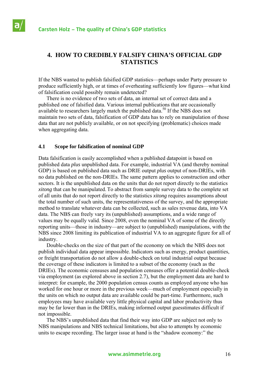a

# **4. HOW TO CREDIBLY FALSIFY CHINA'S OFFICIAL GDP STATISTICS**

If the NBS wanted to publish falsified GDP statistics—perhaps under Party pressure to produce sufficiently high, or at times of overheating sufficiently low figures—what kind of falsification could possibly remain undetected?

 There is no evidence of two sets of data, an internal set of correct data and a published one of falsified data. Various internal publications that are occasionally available to researchers largely match the published data.<sup>50</sup> If the NBS does not maintain two sets of data, falsification of GDP data has to rely on manipulation of those data that are not publicly available, or on not specifying (problematic) choices made when aggregating data.

### **4.1 Scope for falsification of nominal GDP**

Data falsification is easily accomplished when a published datapoint is based on published data *plus* unpublished data. For example, industrial VA (and thereby nominal GDP) is based on published data such as DRIE output *plus* output of non-DRIEs, with no data published on the non-DRIEs. The same pattern applies to construction and other sectors. It is the unpublished data on the units that do not report directly to the statistics *xitong* that can be manipulated. To abstract from sample survey data to the complete set of all units that do not report directly to the statistics *xitong* requires assumptions about the total number of such units, the representativeness of the survey, and the appropriate method to translate whatever data can be collected, such as sales revenue data, into VA data. The NBS can freely vary its (unpublished) assumptions, and a wide range of values may be equally valid. Since 2008, even the nominal VA of some of the directly reporting units—those in industry—are subject to (unpublished) manipulations, with the NBS since 2008 limiting its publication of industrial VA to an aggregate figure for all of industry.

 Double-checks on the size of that part of the economy on which the NBS does not publish individual data appear impossible. Indicators such as energy, product quantities, or freight transportation do not allow a double-check on total industrial output because the coverage of these indicators is limited to a subset of the economy (such as the DRIEs). The economic censuses and population censuses offer a potential double-check via employment (as explored above in section 2.7), but the employment data are hard to interpret: for example, the 2000 population census counts as employed anyone who has worked for one hour or more in the previous week—much of employment especially in the units on which no output data are available could be part-time. Furthermore, such employees may have available very little physical capital and labor productivity thus may be far lower than in the DRIEs, making informed output guesstimates difficult if not impossible.

 The NBS's unpublished data that find their way into GDP are subject not only to NBS manipulations and NBS technical limitations, but also to attempts by economic units to escape recording. The larger issue at hand is the "shadow economy:" the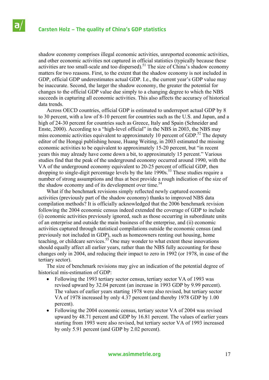shadow economy comprises illegal economic activities, unreported economic activities, and other economic activities not captured in official statistics (typically because these activities are too small-scale and too dispersed).<sup>51</sup> The size of China's shadow economy matters for two reasons. First, to the extent that the shadow economy is not included in GDP, official GDP underestimates actual GDP. I.e., the current year's GDP value may be inaccurate. Second, the larger the shadow economy, the greater the potential for changes to the official GDP value due simply to a changing degree to which the NBS succeeds in capturing all economic activities. This also affects the accuracy of historical data trends.

 Across OECD countries, official GDP is estimated to underreport actual GDP by 8 to 30 percent, with a low of 8-10 percent for countries such as the U.S. and Japan, and a high of 24-30 percent for countries such as Greece, Italy and Spain (Schneider and Enste, 2000). According to a "high-level official" in the NBS in 2003, the NBS may miss economic activities equivalent to approximately 10 percent of GDP.<sup>52</sup> The deputy editor of the Hongqi publishing house, Huang Weiting, in 2003 estimated the missing economic activities to be equivalent to approximately 15-20 percent, but "in recent years this may already have come down a bit, to approximately 15 percent." Various studies find that the peak of the underground economy occurred around 1990, with the VA of the underground economy equivalent to 20-25 percent of official GDP, then dropping to single-digit percentage levels by the late 1990s.<sup>53</sup> These studies require a number of strong assumptions and thus at best provide a rough indication of the size of the shadow economy and of its development over time.<sup>54</sup>

 What if the benchmark revisions simply reflected newly captured economic activities (previously part of the shadow economy) thanks to improved NBS data compilation methods? It is officially acknowledged that the 2006 benchmark revision following the 2004 economic census indeed extended the coverage of GDP to include (i) economic activities previously ignored, such as those occurring in subordinate units of an enterprise and outside the main business of the enterprise, and (ii) economic activities captured through statistical compilations outside the economic census (and previously not included in GDP), such as homeowners renting out housing, home teaching, or childcare services.<sup>55</sup> One may wonder to what extent these innovations should equally affect all earlier years, rather than the NBS fully accounting for these changes only in 2004, and reducing their impact to zero in 1992 (or 1978, in case of the tertiary sector).

 The size of benchmark revisions may give an indication of the potential degree of historical mis-estimation of GDP:

- Following the 1993 tertiary sector census, tertiary sector VA of 1993 was revised upward by 32.04 percent (an increase in 1993 GDP by 9.99 percent). The values of earlier years starting 1978 were also revised, but tertiary sector VA of 1978 increased by only 4.37 percent (and thereby 1978 GDP by 1.00 percent).
- Following the 2004 economic census, tertiary sector VA of 2004 was revised upward by 48.71 percent and GDP by 16.81 percent. The values of earlier years starting from 1993 were also revised, but tertiary sector VA of 1993 increased by only 5.91 percent (and GDP by 2.02 percent).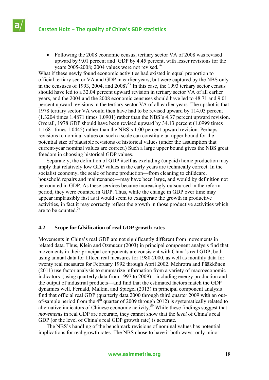# **Carsten Holz – The quality of China's GDP statistics**

 Following the 2008 economic census, tertiary sector VA of 2008 was revised upward by 9.01 percent and GDP by 4.45 percent, with lesser revisions for the years  $2005-2008$ ;  $2004$  values were not revised.<sup>56</sup>

What if these newly found economic activities had existed in equal proportion to official tertiary sector VA and GDP in earlier years, but were captured by the NBS only in the censuses of 1993, 2004, and  $2008$ <sup>57</sup> In this case, the 1993 tertiary sector census should have led to a 32.04 percent upward revision in tertiary sector VA of all earlier years, and the 2004 and the 2008 economic censuses should have led to 48.71 and 9.01 percent upward revisions in the tertiary sector VA of all earlier years. The upshot is that 1978 tertiary sector VA would then have had to be revised upward by 114.03 percent (1.3204 times 1.4871 times 1.0901) rather than the NBS's 4.37 percent upward revision. Overall, 1978 GDP should have been revised upward by 34.13 percent (1.0999 times 1.1681 times 1.0445) rather than the NBS's 1.00 percent upward revision. Perhaps revisions to nominal values on such a scale can constitute an upper bound for the potential size of plausible revisions of historical values (under the assumption that current-year nominal values are correct.) Such a large upper bound gives the NBS great freedom in choosing historical GDP values.

 Separately, the definition of GDP itself as excluding (unpaid) home production may imply that relatively low GDP values in the early years are technically correct. In the socialist economy, the scale of home production—from cleaning to childcare, household repairs and maintenance—may have been large, and would by definition not be counted in GDP. As these services became increasingly outsourced in the reform period, they were counted in GDP. Thus, while the change in GDP over time may appear implausibly fast as it would seem to exaggerate the growth in productive activities, in fact it may correctly reflect the growth in those productive activities which are to be counted.58

### **4.2 Scope for falsification of real GDP growth rates**

Movements in China's real GDP are not significantly different from movements in related data. Thus, Klein and Ozmucur (2003) in principal component analysis find that movements in their principal components are consistent with China's real GDP, both using annual data for fifteen real measures for 1980-2000, as well as monthly data for twenty real measures for February 1992 through April 2002. Mehrotra and Pääkkönen (2011) use factor analysis to summarize information from a variety of macroeconomic indicators (using quarterly data from 1997 to 2009)—including energy production and the output of industrial products—and find that the estimated factors match the GDP dynamics well. Fernald, Malkin, and Spiegel (2013) in principal component analysis find that official real GDP (quarterly data 2000 through third quarter 2009 with an outof-sample period from the  $4<sup>th</sup>$  quarter of 2009 through 2012) is systematically related to alternative indicators of Chinese economic activity.<sup>59</sup> While these findings suggest that *movements* in real GDP are accurate, they cannot show that the *level* of China's real GDP (or the level of China's real GDP growth rate) is accurate.

 The NBS's handling of the benchmark revisions of nominal values has potential implications for real growth rates. The NBS chose to have it both ways: only minor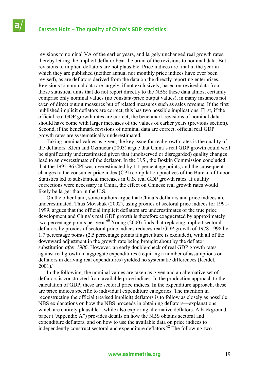revisions to nominal VA of the earlier years, and largely unchanged real growth rates, thereby letting the implicit deflator bear the brunt of the revisions to nominal data. But revisions to implicit deflators are not plausible. Price indices are final in the year in which they are published (neither annual nor monthly price indices have ever been revised), as are deflators derived from the data on the directly reporting enterprises. Revisions to nominal data are largely, if not exclusively, based on revised data from those statistical units that do not report directly to the NBS: these data almost certainly comprise only nominal values (no constant-price output values), in many instances not even of direct output measures but of related measures such as sales revenue. If the first published implicit deflators are correct, this has two possible implications. First, if the official real GDP growth rates are correct, the benchmark revisions of nominal data should have come with larger increases of the values of earlier years (previous section). Second, if the benchmark revisions of nominal data are correct, official real GDP growth rates are systematically underestimated.

 Taking nominal values as given, the key issue for real growth rates is the quality of the deflators. Klein and Ozmucur (2003) argue that China's real GDP growth could well be significantly underestimated given that (unobserved or disregarded) quality changes lead to an overestimate of the deflator. In the U.S., the Boskin Commission concluded that the 1995-96 CPI was overestimated by 1.1 percentage points, and the subsequent changes to the consumer price index (CPI) compilation practices of the Bureau of Labor Statistics led to substantical increases in U.S. real GDP growth rates. If quality corrections were necessary in China, the effect on Chinese real growth rates would likely be larger than in the U.S.

 On the other hand, some authors argue that China's deflators and price indices are underestimated. Thus Movshuk (2002), using proxies of sectoral price indices for 1991- 1999, argues that the official implicit deflators are underestimates of the true price development and China's real GDP growth is therefore exaggerated by approximately two percentage points per year.<sup>60</sup> Young (2000) finds that replacing implicit sectoral deflators by proxies of sectoral price indices reduces real GDP growth of 1978-1998 by 1.7 percentage points (2.5 percentage points if agriculture is excluded), with all of the downward adjustment in the growth rate being brought about by the deflator substitution *after 1986*. However, an early double-check of real GDP growth rates against real growth in aggregate expenditures (requiring a number of assumptions on deflators in deriving real expenditures) yielded no systematic differences (Keidel,  $2001$ <sup>61</sup>

 In the following, the nominal values are taken as given and an alternative set of deflators is constructed from available price indices. In the production approach to the calculation of GDP, these are sectoral price indices. In the expenditure approach, these are price indices specific to individual expenditure categories. The intention in reconstructing the official (revised implicit) deflators is to follow as closely as possible NBS explanations on how the NBS proceeds in obtaining deflators—explanations which are entirely plausible—while also exploring alternative deflators. A background paper ("Appendix A") provides details on how the NBS obtains sectoral and expenditure deflators, and on how to use the available data on price indices to independently construct sectoral and expenditure deflators.<sup>62</sup> The following two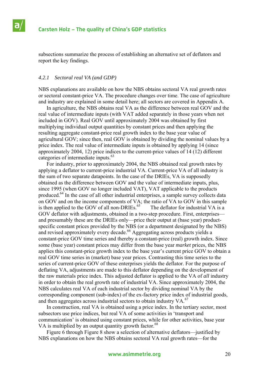subsections summarize the process of establishing an alternative set of deflators and report the key findings.

### *4.2.1 Sectoral real VA (and GDP)*

NBS explanations are available on how the NBS obtains sectoral VA real growth rates or sectoral constant-price VA. The procedure changes over time. The case of agriculture and industry are explained in some detail here; all sectors are covered in Appendix A.

 In agriculture, the NBS obtains real VA as the difference between real GOV and the real value of intermediate inputs (with VAT added separately in those years when not included in GOV). Real GOV until approximately 2004 was obtained by first multiplying individual output quantities by constant prices and then applying the resulting aggregate constant-price real growth index to the base year value of agricultural GOV; since then, real GOV is obtained by dividing the nominal values by a price index. The real value of intermediate inputs is obtained by applying 14 (since approximately 2004, 12) price indices to the current-price values of 14 (12) different categories of intermediate inputs.<sup>63</sup>

 For industry, prior to approximately 2004, the NBS obtained real growth rates by applying a deflator to current-price industrial VA. Current-price VA of all industry is the sum of two separate datapoints. In the case of the DRIEs, VA is supposedly obtained as the difference between GOV and the value of intermediate inputs, plus, since 1995 (when GOV no longer included VAT), VAT applicable to the products produced.<sup>64</sup> In the case of all other industrial enterprises, a sample survey collects data on GOV and on the income components of VA; the ratio of VA to GOV in this sample is then applied to the GOV of all non-DRIEs. $65$  The deflator for industrial VA is a GOV deflator with adjustments, obtained in a two-step procedure. First, enterprises and presumably these are the DRIEs only—price their output at (base year) productspecific constant prices provided by the NBS (or a department designated by the NBS) and revised approximately every decade.<sup>66</sup> Aggregating across products yields a constant-price GOV time series and thereby a constant-price (real) growth index. Since some (base year) constant prices may differ from the base year *market* prices, the NBS applies this constant-price growth index to the base year's current price GOV to obtain a real GOV time series in (market) base year prices. Contrasting this time series to the series of current-price GOV of these enterprises yields the deflator. For the purpose of deflating VA, adjustments are made to this deflator depending on the development of the raw materials price index. This adjusted deflator is applied to the VA of *all* industry in order to obtain the real growth rate of industrial VA. Since approximately 2004, the NBS calculates real VA of each industrial sector by dividing nominal VA by the corresponding component (sub-index) of the ex-factory price index of industrial goods, and then aggregates across industrial sectors to obtain industry  $VA<sub>1</sub>$ <sup>67</sup>

 In construction, real VA is obtained using a price index. In the tertiary sector, most subsectors use price indices, but real VA of some activities in 'transport and communication' is obtained using constant prices, while for other activities, base year VA is multiplied by an output quantity growth factor. $68$ 

 Figure 6 through Figure 8 show a selection of alternative deflators—justified by NBS explanations on how the NBS obtains sectoral VA real growth rates—for the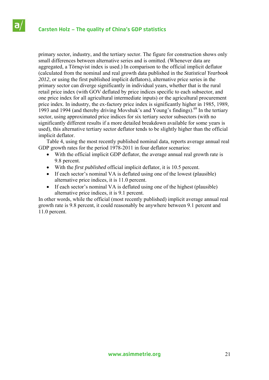primary sector, industry, and the tertiary sector. The figure for construction shows only small differences between alternative series and is omitted. (Whenever data are aggregated, a Törnqvist index is used.) In comparison to the official implicit deflator (calculated from the nominal and real growth data published in the *Statistical Yearbook 2012*, or using the first published implicit deflators), alternative price series in the primary sector can diverge significantly in individual years, whether that is the rural retail price index (with GOV deflated by price indices specific to each subsector, and one price index for all agricultural intermediate inputs) or the agricultural procurement price index. In industry, the ex-factory price index is significantly higher in 1985, 1989, 1993 and 1994 (and thereby driving Movshuk's and Young's findings).69 In the tertiary sector, using approximated price indices for six tertiary sector subsectors (with no significantly different results if a more detailed breakdown available for some years is used), this alternative tertiary sector deflator tends to be slightly higher than the official implicit deflator.

 Table 4, using the most recently published nominal data, reports average annual real GDP growth rates for the period 1978-2011 in four deflator scenarios:

- With the official implicit GDP deflator, the average annual real growth rate is 9.8 percent.
- With the *first published* official implicit deflator, it is 10.5 percent.
- If each sector's nominal VA is deflated using one of the lowest (plausible) alternative price indices, it is 11.0 percent.
- If each sector's nominal VA is deflated using one of the highest (plausible) alternative price indices, it is 9.1 percent.

In other words, while the official (most recently published) implicit average annual real growth rate is 9.8 percent, it could reasonably be anywhere between 9.1 percent and 11.0 percent.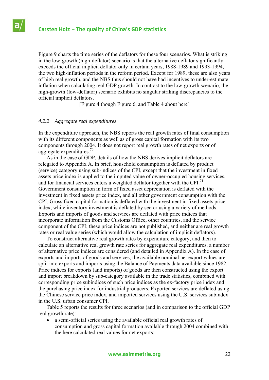Figure 9 charts the time series of the deflators for these four scenarios. What is striking in the low-growth (high-deflator) scenario is that the alternative deflator significantly exceeds the official implicit deflator only in certain years, 1988-1989 and 1993-1994, the two high-inflation periods in the reform period. Except for 1989, these are also years of high real growth, and the NBS thus should not have had incentives to under-estimate inflation when calculating real GDP growth. In contrast to the low-growth scenario, the high-growth (low-deflator) scenario exhibits no singular striking discrepancies to the official implicit deflators.

[Figure 4 though Figure 6, and Table 4 about here]

### *4.2.2 Aggregate real expenditures*

In the expenditure approach, the NBS reports the real growth rates of final consumption with its different components as well as of gross capital formation with its two components through 2004. It does not report real growth rates of net exports or of aggregate expenditures. $70$ 

 As in the case of GDP, details of how the NBS derives implicit deflators are relegated to Appendix A. In brief, household consumption is deflated by product (service) category using sub-indices of the CPI, except that the investment in fixed assets price index is applied to the imputed value of owner-occupied housing services, and for financial services enters a weighted deflator together with the CPI.<sup>71</sup> Government consumption in form of fixed asset depreciation is deflated with the investment in fixed assets price index, and all other government consumption with the CPI. Gross fixed capital formation is deflated with the investment in fixed assets price index, while inventory investment is deflated by sector using a variety of methods. Exports and imports of goods and services are deflated with price indices that incorporate information from the Customs Office, other countries, and the service component of the CPI; these price indices are not published, and neither are real growth rates or real value series (which would allow the calculation of implicit deflators).

 To construct alternative real growth rates by expenditure category, and then to calculate an alternative real growth rate series for aggregate real expenditures, a number of alternative price indices are considered (and detailed in Appendix A). In the case of exports and imports of goods and services, the available nominal net export values are split into exports and imports using the Balance of Payments data available since 1982. Price indices for exports (and imports) of goods are then constructed using the export and import breakdown by sub-category available in the trade statistics, combined with corresponding price subindices of such price indices as the ex-factory price index and the purchasing price index for industrial producers. Exported services are deflated using the Chinese service price index, and imported services using the U.S. services subindex in the U.S. urban consumer CPI.

 Table 5 reports the results for three scenarios (and in comparison to the official GDP real growth rate):

 a semi-official series using the available official real growth rates of consumption and gross capital formation available through 2004 combined with the here calculated real values for net exports;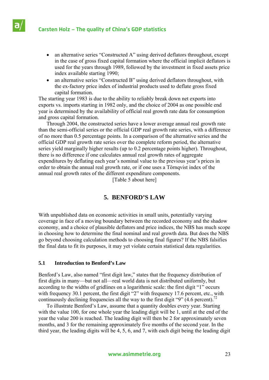

- an alternative series "Constructed A" using derived deflators throughout, except in the case of gross fixed capital formation where the official implicit deflators is used for the years through 1989, followed by the investment in fixed assets price index available starting 1990;
- an alternative series "Constructed B" using derived deflators throughout, with the ex-factory price index of industrial products used to deflate gross fixed capital formation.

The starting year 1983 is due to the ability to reliably break down net exports into exports vs. imports starting in 1982 only, and the choice of 2004 as one possible end year is determined by the availability of official real growth rate data for consumption and gross capital formation.

 Through 2004, the constructed series have a lower average annual real growth rate than the semi-official series or the official GDP real growth rate series, with a difference of no more than 0.5 percentage points. In a comparison of the alternative series and the official GDP real growth rate series over the complete reform period, the alternative series yield marginally higher results (up to 0.2 percentage points higher). Throughout, there is no difference if one calculates annual real growth rates of aggregate expenditures by deflating each year's nominal value to the previous year's prices in order to obtain the annual real growth rate, or if one uses a Törnqvist index of the annual real growth rates of the different expenditure components.

[Table 5 about here]

# **5. BENFORD'S LAW**

With unpublished data on economic activities in small units, potentially varying coverage in face of a moving boundary between the recorded economy and the shadow economy, and a choice of plausible deflators and price indices, the NBS has much scope in choosing how to determine the final nominal and real growth data. But does the NBS go beyond choosing calculation methods to choosing final figures? If the NBS falsifies the final data to fit its purposes, it may yet violate certain statistical data regularities.

# **5.1 Introduction to Benford's Law**

Benford's Law, also named "first digit law," states that the frequency distribution of first digits in many—but not all—real world data is not distributed uniformly, but according to the widths of gridlines on a logarithmic scale: the first digit "1" occurs with frequency 30.1 percent, the first digit "2" with frequency 17.6 percent, etc., with continuously declining frequencies all the way to the first digit "9" (4.6 percent).<sup>72</sup>

 To illustrate Benford's Law, assume that a quantity doubles every year. Starting with the value 100, for one whole year the leading digit will be 1, until at the end of the year the value 200 is reached. The leading digit will then be 2 for approximately seven months, and 3 for the remaining approximately five months of the second year. In the third year, the leading digits will be 4, 5, 6, and 7, with each digit being the leading digit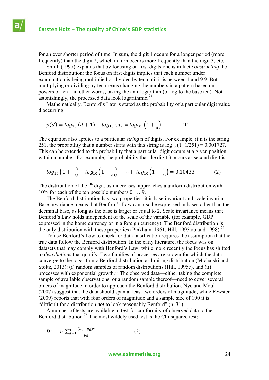for an ever shorter period of time. In sum, the digit 1 occurs for a longer period (more frequently) than the digit 2, which in turn occurs more frequently than the digit 3, etc.

 Smith (1997) explains that by focusing on first digits one is in fact *constructing* the Benford distribution: the focus on first digits implies that each number under examination is being multiplied or divided by ten until it is between 1 and 9.9. But multiplying or dividing by ten means changing the numbers in a pattern based on powers of ten—in other words, taking the anti-logarithm (of log to the base ten). Not astonishingly, the processed data look logarithmic.<sup>73</sup>

 Mathematically, Benford's Law is stated as the probability of a particular digit value d occurring:

$$
p(d) = log_{10} (d+1) - log_{10} (d) = log_{10} \left( 1 + \frac{1}{d} \right) \tag{1}
$$

The equation also applies to a particular *string* n of digits. For example, if n is the string 251, the probability that a number starts with this string is  $log_{10} (1+1/251) = 0.001727$ . This can be extended to the probability that a particular digit occurs at a given position within a number. For example, the probability that the digit 3 occurs as second digit is

$$
log_{10}\left(1+\frac{1}{13}\right) + log_{10}\left(1+\frac{1}{23}\right) + \dots + log_{10}\left(1+\frac{1}{93}\right) = 0.10433
$$
 (2)

The distribution of the i<sup>th</sup> digit, as i increases, approaches a uniform distribution with 10% for each of the ten possible numbers 0, … 9.

 The Benford distribution has two properties: it is base invariant and scale invariant. Base invariance means that Benford's Law can also be expressed in bases other than the decminal base, as long as the base is larger or equal to 2. Scale invariance means that Benford's Law holds independent of the scale of the variable (for example, GDP expressed in the home currency or in a foreign currency). The Benford distribution is the only distribution with these properties (Pinkham, 1961, Hill, 1995a/b and 1998).<sup>74</sup>

 To use Benford's Law to check for data falsification requires the assumption that the true data follow the Benford distribution. In the early literature, the focus was on datasets that may comply with Benford's Law, while more recently the focus has shifted to *distributions* that qualify. Two families of processes are known for which the data converge to the logarithmic Benford distribution as limiting distribution (Michalski and Stoltz, 2013): (i) random samples of random distributions (Hill, 1995c), and (ii) processes with exponential growth.75 The observed data—either taking the complete sample of available observations, or a random sample thereof—need to cover several orders of magnitude in order to approach the Benford distribution. Nye and Moul (2007) suggest that the data should span at least two orders of magnitude, while Fewster (2009) reports that with four orders of magnitude and a sample size of 100 it is "difficult for a distribution *not* to look reasonably Benford" (p. 31).

 A number of tests are available to test for conformity of observed data to the Benford distribution.<sup>76</sup> The most wildely used test is the Chi-squared test:

$$
D^2 = n \sum_{d=1}^{9} \frac{(h_d - p_d)^2}{p_d} \tag{3}
$$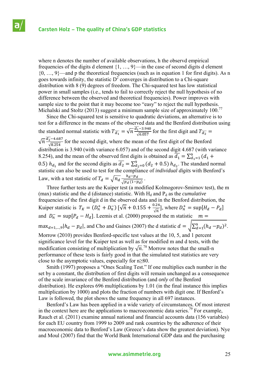а

where n denotes the number of available observations, h the observd empirical frequencies of the digits d element {1, …, 9}—in the case of second digits d element  $\{0, \ldots, 9\}$ —and p the theoretical frequencies (such as in equation 1 for first digits). As n goes towards infinity, the statistic  $D^2$  converges in distribution to a Chi-square distribution with 8 (9) degrees of freedom. The Chi-squared test has low statistical power in small samples (i.e., tends to fail to correctly reject the null hypothesis of no difference between the observed and theoretical frequencies). Power improves with sample size to the point that it may become too "easy" to reject the null hypothesis. Michalski and Stoltz (2013) suggest a minimum sample size of approximately 100.<sup>77</sup>

 Since the Chi-squared test is sensitive to quadratic deviations, an alternative is to test for a difference in the means of the observed data and the Benford distribution using the standard normal statistic with  $T_{\overline{d_1}} = \sqrt{n} \frac{\overline{d_1} - 3.940}{\sqrt{6.057}}$  for the first digit and  $T_{\overline{d_2}} =$ 

 $\sqrt{n} \frac{\overline{d_2} - 4.687}{\sqrt{8.254}}$  for the second digit, where the mean of the first digit of the Benford distribution is 3.940 (with variance 6.057) and of the second digit 4.687 (with variance 8.254), and the mean of the observed first digits is obtained as  $\overline{d_1} = \sum_{d=1}^{9} (d_1 +$ 0.5)  $h_{d_1}$  and for the second digits as  $\overline{d_2} = \sum_{d_2=0}^{9} (d_2 + 0.5) h_{d_2}$ . The standard normal statistic can also be used to test for the compliance of *individual digits* with Benford's Law, with a test statistic of  $T_d = \sqrt{n_d} \frac{h_d - pd}{\sqrt{n_d} \sqrt{n_d}}$  $\frac{n_d-p_d}{\sqrt{p_d(1-p_d)}}$ .

 Three further tests are the Kuiper test (a modified Kolmogorov-Smirnov test), the m (max) statistic and the d (distance) statistic. With  $H_d$  and  $P_d$  as the *cumulative* frequencies of the first digit d in the observed data and in the Benford distribution, the Kuiper statistic is  $T_K = (D_n^+ + D_n^-) [\sqrt{n} + 0.155 + \frac{0.24}{\sqrt{n}}]$ , where  $D_n^+ = \sup [H_d - P_d]$ and  $D_n^-$  = sup $[P_d - H_d]$ . Leemis et al. (2000) proposed the m statistic  $m =$ max<sub>d=1,…,9</sub>  $|h_d - p_d|$ , and Cho and Gaines (2007) the d statistic  $d = \sqrt{\sum_{d=1}^{9} (h_d - p_d)^2}$ . Morrow (2010) provides Benford-specific test values at the 10, 5, and 1 percent significance level for the Kuiper test as well as for modified m and d tests, with the modification consisting of multiplication by  $\sqrt{n}$ .<sup>78</sup> Morrow notes that the small-n performance of these tests is fairly good in that the simulated test statistics are very close to the asymptotic values, especially for n≥80.

 Smith (1997) proposes a "Ones Scaling Test." If one multiplies each number in the set by a constant, the distribution of first digits will remain unchanged as a consequence of the scale invariance of the Benford distribution (and *only* of the Benford distribution). He explores 696 multiplications by 1.01 (in the final instance this implies multiplication by 1000) and plots the fraction of numbers with digit one. If Benford's Law is followed, the plot shows the same frequency in all 697 instances.

 Benford's Law has been applied in a wide variety of circumstances. Of most interest in the context here are the applications to macroeconomic data series.<sup>79</sup> For example, Rauch et al. (2011) examine annual national and financial accounts data (156 variables) for each EU country from 1999 to 2009 and rank countries by the adherence of their macroeconomic data to Benford's Law (Greece's data show the greatest deviation). Nye and Moul (2007) find that the World Bank International GDP data and the purchasing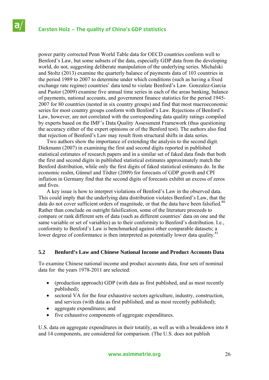power parity corrected Penn World Table data for OECD countries conform well to Benford's Law, but some subsets of the data, especially GDP data from the developing world, do not, suggesting deliberate manipulation of the underlying series. Michalski and Stoltz (2013) examine the quarterly balance of payments data of 103 countries in the period 1989 to 2007 to determine under which conditions (such as having a fixed exchange rate regime) countries' data tend to violate Benford's Law. Gonzalez-Garcia and Pastor (2009) examine five annual time series in each of the areas banking, balance of payments, national accounts, and government finance statistics for the period 1945- 2007 for 80 countries (nested in six country groups) and find that most macroeconomic series for most country groups conform with Benford's Law. Rejections of Benford's Law, however, are not correlated with the corresponding data quality ratings compiled by experts based on the IMF's Data Quality Assessment Framework (thus questioning the accuracy either of the expert opinions or of the Benford test). The authors also find that rejection of Benford's Law may result from structural shifts in data series.

 Two authors show the importance of extending the analysis to the second digit. Diekmann (2007) in examining the first and second digits reported in published statistical estimates of research papers and in a similar set of faked data finds that both the first and second digits in published statistical estimates approximately match the Benford distribution, while only the first digits of faked statistical estimates do. In the economic realm, Günnel and Tödter (2009) for forecasts of GDP growth and CPI inflation in Germany find that the second digits of forecasts exhibit an excess of zeros and fives.

 A key issue is how to interpret violations of Benford's Law in the observed data. This could imply that the underlying data distribution violates Benford's Law, that the data do not cover sufficient orders of magnitude, or that the data have been falsified. $80$ Rather than conclude on outright falsification, some of the literature proceeds to compare or rank different sets of data (such as different countries' data on one and the same variable or set of variables) as to their conformity to Benford's distribution. I.e., conformity to Benford's Law is benchmarked against other comparable datasets; a lower degree of conformance is then interpreted as potentially lower data quality.<sup>81</sup>

### **5.2 Benford's Law and Chinese National Income and Product Accounts Data**

To examine Chinese national income and product accounts data, four sets of nominal data for the years 1978-2011 are selected:

- (production approach) GDP (with data as first published, and as most recently published);
- sectoral VA for the four exhaustive sectors agriculture, industry, construction, and services (with data as first published, and as most recently published);
- aggregate expenditures; and
- five exhaustive components of aggregate expenditures.

U.S. data on aggregate expenditures in their totatily, as well as with a breakdown into 8 and 14 components, are considered for comparison. (The U.S. does not publish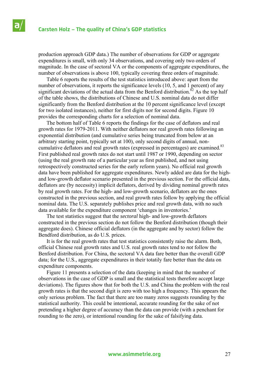production approach GDP data.) The number of observations for GDP or aggregate expenditures is small, with only 34 observations, and covering only two orders of magnitude. In the case of sectoral VA or the components of aggregate expenditures, the number of observations is above 100, typically covering three orders of magnitude.

 Table 6 reports the results of the test statistics introduced above: apart from the number of observations, it reports the significance levels (10, 5, and 1 percent) of any significant deviations of the actual data from the Benford distribution.<sup>82</sup> As the top half of the table shows, the distributions of Chinese and U.S. nominal data do not differ significantly from the Benford distribution at the 10 percent significance level (except for two isolated instances), neither for first digits nor for second digits. Figure 10 provides the corresponding charts for a selection of nominal data.

 The bottom half of Table 6 reports the findings for the case of deflators and real growth rates for 1979-2011. With neither deflators nor real growth rates following an exponential distribution (and cumulative series being truncated from below at an arbitrary starting point, typically set at 100), only second digits of annual, noncumulative deflators and real growth rates (expressed in percentages) are examined.<sup>83</sup> First published real growth rates do not start until 1987 or 1990, depending on sector (using the real growth rate of a particular year as first published, and not using retrospectively constructed series for the early reform years). No official real growth data have been published for aggregate expenditures. Newly added are data for the highand low-growth deflator scenario presented in the previous section. For the official data, deflators are (by necessity) implicit deflators, derived by dividing nominal growth rates by real growth rates. For the high- and low-growth scenario, deflators are the ones constructed in the previous section, and real growth rates follow by applying the official nominal data. The U.S. separately publishes price and real growth data, with no such data available for the expenditure component 'changes in inventories.'

 The test statistics suggest that the *sectoral* high- and low-growth deflators constructed in the previous section do not follow the Benford distribution (though their aggregate does). Chinese official deflators (in the aggregate and by sector) follow the Bendford distribution, as do U.S. prices.

 It is for the real growth rates that test statistics consistently raise the alarm. Both, official Chinese real growth rates and U.S. real growth rates tend to *not* follow the Benford distribution. For China, the sectoral VA data fare better than the overall GDP data; for the U.S., aggregate expenditures in their totatily fare better than the data on expenditure components.

 Figure 11 presents a selection of the data (keeping in mind that the number of observations in the case of GDP is small and the statistical tests therefore accept large deviations). The figures show that for both the U.S. and China the problem with the real growth rates is that the second digit is zero with too high a frequency. This appears the only serious problem. The fact that there are too many zeros suggests rounding by the statistical authority. This could be intentional, accurate rounding for the sake of not pretending a higher degree of accuracy than the data can provide (with a penchant for rounding to the zero), or intentional rounding for the sake of falsifying data.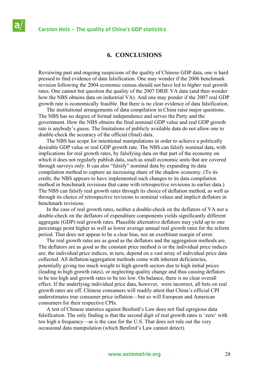### **Carsten Holz – The quality of China's GDP statistics**

# **6. CONCLUSIONS**

Reviewing past and ongoing suspicions of the quality of Chinese GDP data, one is hard pressed to find evidence of data falsification. One may wonder if the 2006 benchmark revision following the 2004 economic census should not have led to *higher* real growth rates. One cannot but question the quality of the 2007 DRIE VA data (and then wonder how the NBS obtains data on industrial VA). And one may ponder if the 2007 real GDP growth rate is economically feasible. But there is no clear evidence of data falsification.

 The institutional arrangements of data compilation in China raise major questions. The NBS has no degree of formal independence and serves the Party and the government. How the NBS obtains the final nominal GDP value and real GDP growth rate is anybody's guess. The limitations of publicly available data do not allow one to double-check the accuracy of the official (final) data.

 The NBS has scope for intentional manipulations in order to achieve a politically desirable GDP value or real GDP growth rate. The NBS can falsify nominal data, with implications for real growth rates, by falsifying data on that part of the economy on which it does not regularly publish data, such as small economic units that are covered through surveys only. It can also "falsify" nominal data by expanding its data compilation method to capture an increasing share of the shadow economy. (To its credit, the NBS appears to have implemented such changes to its data compilation method in benchmark revisions that came with retrospective revisions to earlier data.) The NBS can falsify real growth rates through its choice of deflation method, as well as through its choice of retrospective revisions to nominal values and implicit deflators in benchmark revisions.

 In the case of real growth rates, neither a double-check on the deflators of VA nor a double-check on the deflators of expenditure components yields significantly different aggregate (GDP) real growth rates. Plausible alternative deflators may yield up to one percentage point higher as well as lower average annual real growth rates for the reform period. That does not appear to be a clear bias, nor an exorbitant margin of error.

 The real growth rates are as good as the deflators and the aggregation methods are. The deflators are as good as the constant price method is or the individual price indices are; the individual price indices, in turn, depend on a vast array of individual price data collected. All deflation/aggregation methods come with inherent deficiencies, potentially giving too much weight to high-growth sectors due to high initial prices (leading to high growth rates), or neglecting quality change and thus causing deflators to be too high and growth rates to be too low. On balance, there is no clear overall effect. If the underlying individual price data, however, were incorrect, all bets on real growth rates are off. Chinese consumers will readily attest that China's official CPI understimates true consumer price inflation—but so will European and American consumers for their respective CPIs.

 A test of Chinese statistics against Benford's Law does not find egregious data falsification. The only finding is that the second digit of real growth rates is 'zero' with too high a frequency—as is the case for the U.S. That does not rule out the very occasional data manipulation (which Benford's Law cannot detect).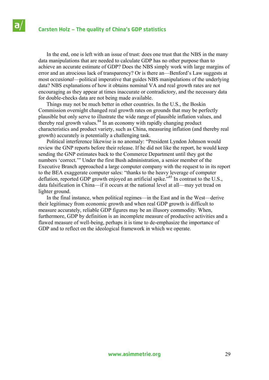In the end, one is left with an issue of trust: does one trust that the NBS in the many data manipulations that are needed to calculate GDP has no other purpose than to achieve an accurate estimate of GDP? Does the NBS simply work with large margins of error and an atrocious lack of transparency? Or is there an—Benford's Law suggests at most *occasional*—political imperative that guides NBS manipulations of the underlying data? NBS explanations of how it obtains nominal VA and real growth rates are not encouraging as they appear at times inaccurate or contradictory, and the necessary data for double-checks data are not being made available.

 Things may not be much better in other countries. In the U.S., the Boskin Commission overnight changed real growth rates on grounds that may be perfectly plausible but only serve to illustrate the wide range of plausible inflation values, and thereby real growth values.<sup>84</sup> In an economy with rapidly changing product characteristics and product variety, such as China, measuring inflation (and thereby real growth) accurately is potentially a challenging task.

 Political interference likewise is no anomaly: "President Lyndon Johnson would review the GNP reports before their release. If he did not like the report, he would keep sending the GNP estimates back to the Commerce Department until they got the numbers 'correct.'" Under the first Bush administration, a senior member of the Executive Branch approached a large computer company with the request to in its report to the BEA exaggerate computer sales: "thanks to the heavy leverage of computer deflation, reported GDP growth enjoyed an artificial spike.<sup>85</sup> In contrast to the U.S., data falsification in China—if it occurs at the national level at all—may yet tread on lighter ground.

 In the final instance, when political regimes—in the East and in the West—derive their legitimacy from economic growth and when real GDP growth is difficult to measure accurately, reliable GDP figures may be an illusory commodity. When, furthermore, GDP by definition is an incomplete measure of productive activities and a flawed measure of well-being, perhaps it is time to de-emphasize the importance of GDP and to reflect on the ideological framework in which we operate.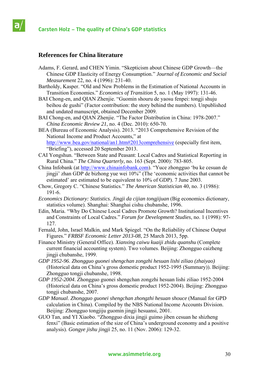# **References for China literature**

- Adams, F. Gerard, and CHEN Yimin. "Skepticism about Chinese GDP Growth—the Chinese GDP Elasticity of Energy Consumption." *Journal of Economic and Social Measurement* 22, no. 4 (1996): 231-40.
- Bartholdy, Kasper. "Old and New Problems in the Estimation of National Accounts in Transition Economies." *Economics of Transition* 5, no. 1 (May 1997): 131-46.
- BAI Chong-en, and QIAN Zhenjie. "Guomin shouru de yaosu fenpei: tongji shuju beihou de gushi" (Factor contribution: the story behind the numbers). Unpublished and undated manuscript, obtained December 2009.
- BAI Chong-en, and QIAN Zhenjie. "The Factor Distribution in China: 1978-2007." *China Economic Review 21*, no. 4 (Dec. 2010): 650-70.
- BEA (Bureau of Economic Analysis). 2013. "2013 Comprehensive Revision of the National Income and Product Accounts," at http://www.bea.gov/national/an1.htm#2013comprehensive (especially first item, "Briefing"), accessed 20 September 2013.
- CAI Yongshun. "Between State and Peasant: Local Cadres and Statistical Reporting in Rural China." *The China Quarterly*, no. 163 (Sept. 2000): 783-805.
- China Infobank (at http://www.chinainfobank.com). "Yuce zhongguo 'bu ke cesuan de jingji' zhan GDP de bizhong yue wei 10%" (The 'economic activities that cannot be estimated' are estimated to be equivalent to 10% of GDP). 7 June 2003.
- Chow, Gregory C. "Chinese Statistics." *The American Statistician* 40, no. 3 (1986): 191-6.
- *Economics Dictionary: Statistics. Jingji da cijian tongjijuan* (Big economics dictionary, statistics volume). Shanghai: Shanghai cishu chubanshe, 1996.
- Edin, Maria. "Why Do Chinese Local Cadres Promote Growth? Institutional Incentives and Constraints of Local Cadres." *Forum for Development Studies*, no. 1 (1998): 97- 127.
- Fernald, John, Israel Malkin, and Mark Spiegel. "On the Reliability of Chinese Output Figures." *FRBSF Economic Letter 2013-08*, 25 March 2013, 5pp.
- Finance Ministry (General Office). *Xianxing caiwu kuaiji zhidu quanshu* (Complete current financial accounting system). Two volumes. Beijing: Zhongguo caizheng jingji chubanshe, 1999.
- *GDP 1952-96*. *Zhongguo guonei shengchan zongzhi hesuan lishi ziliao (zhaiyao)*  (Historical data on China's gross domestic product 1952-1995 (Summary)). Beijing: Zhongguo tongji chubanshe, 1998.
- *GDP 1952-2004*. Zhongguo guonei shengchan zongzhi hesuan lishi ziliao 1952-2004 (Historical data on China's gross domestic product 1952-2004). Beijing: Zhongguo tongji chubanshe, 2007.
- *GDP Manual*. *Zhongguo guonei shengchan zhongzhi hesuan shouce* (Manual for GPD calculation in China). Compiled by the NBS National Income Accounts Division. Beijing: Zhongguo tongjiju guomin jingji hesuansi, 2001.
- GUO Tan, and YI Xiaobo. "Zhongguo dixia jingji guimo jiben cesuan he shizheng fenxi" (Basic estimation of the size of China's underground economy and a positive analysis). *Gongye jishu jingji* 25, no. 11 (Nov. 2006): 129-32.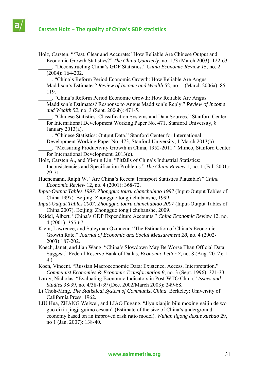- Holz, Carsten. "'Fast, Clear and Accurate:' How Reliable Are Chinese Output and Economic Growth Statistics?" *The China Quarterly*, no. 173 (March 2003): 122-63.
	- \_\_\_\_\_. "Deconstructing China's GDP Statistics." *China Economic Review 15*, no. 2 (2004): 164-202.
	- \_\_\_\_\_. "China's Reform Period Economic Growth: How Reliable Are Angus Maddison's Estimates? *Review of Income and Wealth* 52, no. 1 (March 2006a): 85- 119.
	- \_\_\_\_\_. "China's Reform Period Economic Growth: How Reliable Are Angus Maddison's Estimates? Response to Angus Maddison's Reply." *Review of Income and Wealth 52*, no. 3 (Sept. 2006b): 471-5.
	- \_\_\_\_\_. "Chinese Statistics: Classification Systems and Data Sources." Stanford Center for International Development Working Paper No. 471, Stanford University, 8 January 2013(a).

\_\_\_\_\_. "Chinese Statistics: Output Data." Stanford Center for International

- Development Working Paper No. 473, Stanford University, 1 March 2013(b). \_\_\_\_\_. "Measuring Productivity Growth in China, 1952-2011." Mimeo, Stanford Center for International Development. 2013(c).
- Holz, Carsten A., and Yi-min Lin. "Pitfalls of China's Industrial Statistics: Inconsistencies and Specification Problems." *The China Review* 1, no. 1 (Fall 2001): 29-71.
- Huenemann, Ralph W. "Are China's Recent Transport Statistics Plausible?" *China Economic Review* 12, no. 4 (2001): 368-72.
- *Input-Output Tables 1997*. *Zhongguo touru chanchubiao 1997* (Input-Output Tables of China 1997). Beijing: Zhongguo tongji chubanshe, 1999.
- *Input-Output Tables 2007*. *Zhongguo touru chanchubiao 2007* (Input-Output Tables of China 2007). Beijing: Zhongguo tongji chubanshe, 2009.
- Keidel, Albert. "China's GDP Expenditure Accounts." *China Economic Review* 12, no. 4 (2001): 355-67.
- Klein, Lawrence, and Suleyman Ozmucur. "The Estimation of China's Economic Growth Rate." *Journal of Economic and Social Measurement 28*, no. 4 (2002- 2003):187-202.
- Koech, Janet, and Jian Wang. "China's Slowdown May Be Worse Than Official Data Suggest." Federal Reserve Bank of Dallas, *Economic Letter 7*, no. 8 (Aug. 2012): 1- 4.)
- Koen, Vincent. "Russian Macroeconomic Data: Existence, Access, Interpretation." *Communist Economies & Economic Transformation 8*, no. 3 (Sept. 1996): 321-33.
- Lardy, Nicholas. "Evaluating Economic Indicators in Post-WTO China." *Issues and Studies* 38/39, no. 4/38-1/39 (Dec. 2002/March 2003): 249-68.
- Li Choh-Ming. *The Statistical System of Communist China*. Berkeley: University of California Press, 1962.
- LIU Hua, ZHANG Weiwei, and LIAO Fugang. "Jiyu xianjin bilu moxing gaijin de wo guo dixia jingji guimo cesuan" (Estimate of the size of China's underground economy based on an improved cash ratio model). *Wuhan ligong daxue xuebao* 29, no 1 (Jan. 2007): 138-40.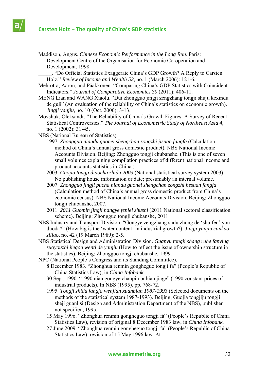- Maddison, Angus. *Chinese Economic Performance in the Long Run*. Paris: Development Centre of the Organisation for Economic Co-operation and Development, 1998.
	- \_\_\_\_\_. "Do Official Statistics Exaggerate China's GDP Growth? A Reply to Carsten Holz." *Review of Income and Wealth 52*, no. 1 (March 2006): 121-6.
- Mehrotra, Aaron, and Pääkkönen. "Comparing China's GDP Statistics with Coincident Indicators." *Journal of Comparative Economics 39* (2011): 406-11.
- MENG Lian and WANG Xiaolu. "Dui zhongguo jingji zengzhang tongji shuju kexindu de guji" (An evaluation of the reliability of China's statistics on economic growth). *Jingji yanjiu*, no. 10 (Oct. 2000): 3-13.
- Movshuk, Oleksandr. "The Reliability of China's Growth Figures: A Survey of Recent Statistical Controversies." *The Journal of Econometric Study of Northeast Asia 4*, no. 1 (2002): 31-45.
- NBS (National Bureau of Statistics).
	- 1997. *Zhongguo niandu guonei shengchan zongzhi jisuan fangfa* (Calculation method of China's annual gross domestic product). NBS National Income Accounts Division. Beijing: Zhongguo tongji chubanshe. (This is one of seven small volumes explaining compilation practices of different national income and product accounts statistics in China.)
	- 2003. *Guojia tongji diaocha zhidu 2003* (National statistical survey system 2003). No publishing house information or date; presumably an internal volume.
	- 2007. *Zhongguo jingji pucha niandu guonei shengchan zongzhi hesuan fangfa*  (Calculation method of China's annual gross domestic product from China's economic census). NBS National Income Accounts Division. Beijing: Zhongguo tongji chubanshe, 2007.
	- 2011. *2011 Guomin jingji hangye fenlei zhushi* (2011 National sectoral classification scheme). Beijing: Zhongguo tongji chubanshe, 2011
- NBS Industry and Transport Division. "Gongye zengzhang sudu zhong de 'shuifen' you duoda?" (How big is the 'water content' in industrial growth?). *Jingji yanjiu cankao ziliao*, no. 42 (19 March 1989): 2-5.
- NBS Statistical Design and Administration Division. *Guanyu tongji shang ruhe fanying suoyouzhi jiegou wenti de yanjiu* (How to reflect the issue of ownership structure in the statistics). Beijing: Zhongguo tongji chubanshe, 1999.
- NPC (National People's Congress and its Standing Committee).
	- 8 December 1983. "Zhonghua renmin gongheguo tongji fa" (People's Republic of China Statistics Law), in *China Infobank*.
	- 30 Sept. 1990. "1990 nian gongye chanpin bubian jiage" (1990 constant prices of industrial products). In NBS (1995), pp. 768-72.
	- 1995. *Tongji zhidu fangfa wenjian xuanbian 1987-1993* (Selected documents on the methods of the statistical system 1987-1993). Beijing, Guojia tongjiju tongji sheji guanlisi (Design and Administration Department of the NBS), publisher not specified, 1995.
	- 15 May 1996. "Zhonghua renmin gongheguo tongji fa" (People's Republic of China Statistics Law), revision of original 8 December 1983 law, in *China Infobank*.
	- 27 June 2009. "Zhonghua renmin gongheguo tongji fa" (People's Republic of China Statistics Law), revision of 15 May 1996 law. At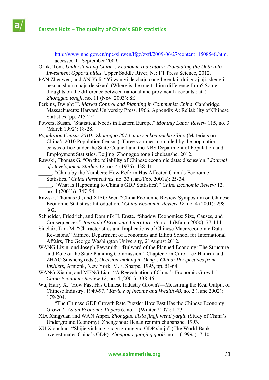http://www.npc.gov.cn/npc/xinwen/lfgz/zxfl/2009-06/27/content\_1508548.htm, accessed 11 September 2009.

- Orlik, Tom. *Understanding China's Economic Indicators: Translating the Data into Investment Opportunities*. Upper Saddle River, NJ: FT Press Science, 2012.
- PAN Zhenwen, and AN Yuli. "Yi wan yi de chaju cong he er lai: dui guojiaji, shengji hesuan shuju chaju de sikao" (Where is the one-trillion difference from? Some thoughts on the difference between national and provincial accounts data). *Zhongguo tongji*, no. 11 (Nov. 2003): 8f.
- Perkins, Dwight H. *Market Control and Planning in Communist China*. Cambridge, Massachusetts: Harvard University Press, 1966. Appendix A: Reliability of Chinese Statistics (pp. 215-25).
- Powers, Susan. "Statistical Needs in Eastern Europe." *Monthly Labor Review* 115, no. 3 (March 1992): 18-28.
- *Population Census 2010. Zhongguo 2010 nian renkou pucha ziliao* (Materials on China's 2010 Population Census). Three volumes, compiled by the population census office under the State Council and the NBS Department of Population and Employment Statistics. Beijing: Zhongguo tongji chubanshe, 2012.
- Rawski, Thomas G. "On the reliability of Chinese economic data: discussion." *Journal of Development Studies 12*, no. 4 (1976): 438-41.
- \_\_\_\_\_. "China by the Numbers: How Reform Has Affected China's Economic Statistics." *China Perspectives*, no. 33 (Jan./Feb. 2001a): 25-34.
- \_\_\_\_\_. "What Is Happening to China's GDP Statistics?" *China Economic Review* 12, no. 4 (2001b): 347-54.
- Rawski, Thomas G., and XIAO Wei. "China Economic Review Symposium on Chinese Economic Statistics: Introduction." *China Economic Review 12*, no. 4 (2001): 298- 302.
- Schneider, Friedrich, and Dominik H. Enste. "Shadow Economies: Size, Causes, and Consequences." *Journal of Economic Literature 38*, no. 1 (March 2000): 77-114.
- Sinclair, Tara M. "Characteristics and Implications of Chinese Macroeconomic Data Revisions." Mimeo, Department of Economics and Elliott School for International Affairs, The George Washington University, 21August 2012.
- WANG Lixin, and Joseph Fewsmith. "Bulward of the Planned Economy: The Structure and Role of the State Planning Commission." Chapter 5 in Carol Lee Hamrin and ZHAO Suisheng (eds.), *Decision-making in Deng's China: Perspectives from Insiders*, Armonk, New York: M.E. Sharpe, 1995, pp. 51-64.
- WANG Xiaolu, and MENG Lian. "A Reevaluation of China's Economic Growth." *China Economic Review 12*, no. 4 (2001): 338-46.
- Wu, Harry X. "How Fast Has Chinese Industry Grown?—Measuring the Real Output of Chinese Industry, 1949-97." *Review of Income and Wealth 48*, no. 2 (June 2002): 179-204.
	- \_\_\_\_\_. "The Chinese GDP Growth Rate Puzzle: How Fast Has the Chinese Economy Grown?" *Asian Economic Papers* 6, no. 1 (Winter 2007): 1-23.
- XIA Xingyuan and WAN Anpei. *Zhongguo dixia jingji wenti yanjiu* (Study of China's Underground Economy). Zhengzhou: Henan renmin chubanshe, 1993.
- XU Xianchun. "Shijie yinhang gaogu zhongguo GDP shuju" (The World Bank overestimates China's GDP). *Zhongguo guoqing guoli*, no. 1 (1999a): 7-10.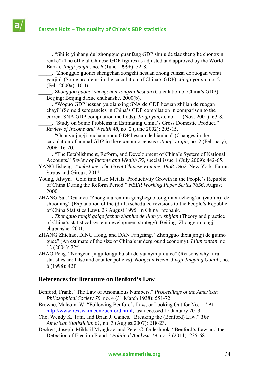\_\_\_\_\_. "Shijie yinhang dui zhongguo guanfang GDP shuju de tiaozheng he chongxin renke" (The official Chinese GDP figures as adjusted and approved by the World Bank). *Jingji yanjiu*, no. 6 (June 1999b): 52-8.

\_\_\_\_\_. "Zhongguo guonei shengchan zongzhi hesuan zhong cunzai de ruogan wenti yanjiu" (Some problems in the calculation of China's GDP). *Jingji yanjiu*, no. 2 (Feb. 2000a): 10-16.

\_\_\_\_\_. *Zhongguo guonei shengchan zongzhi hesuan* (Calculation of China's GDP). Beijing: Beijing daxue chubanshe, 2000(b).

\_\_\_\_\_. "Woguo GDP hesuan yu xianxing SNA de GDP hesuan zhijian de ruogan chayi" (Some discrepancies in China's GDP compilation in comparison to the current SNA GDP compilation methods). *Jingji yanjiu*, no. 11 (Nov. 2001): 63-8.

\_\_\_\_\_. "Study on Some Problems in Estimating China's Gross Domestic Product." *Review of Income and Wealth 48*, no. 2 (June 2002): 205-15.

\_\_\_\_\_. "Guanyu jingji pucha niandu GDP hesuan de bianhua" (Changes in the calculation of annual GDP in the economic census). *Jingji yanjiu*, no. 2 (February), 2006: 16-20.

\_\_\_\_\_. "The Establishment, Reform, and Development of China's System of National Accounts." *Review of Income and Wealth 55*, special issue 1 (July 2009): 442-65.

- YANG Jisheng. *Tombstone: The Great Chinese Famine, 1958-1962*. New York: Farrar, Straus and Giroux, 2012.
- Young, Alwyn. "Gold into Base Metals: Productivity Growth in the People's Republic of China During the Reform Period." *NBER Working Paper Series 7856*, August 2000.
- ZHANG Sai. "Guanyu 'Zhonghua renmin gongheguo tongjifa xiuzheng'an (zao'an)' de shuoming" (Explanation of the (draft) scheduled revisions to the People's Republic of China Statistics Law). 23 August 1995. In China Infobank.
	- \_\_\_\_\_. *Zhongguo tongji gaige fazhan zhanlue de lilun yu shijian* (Theory and practice of China's statistical system development strategy). Beijing: Zhongguo tongji chubanshe, 2001.
- ZHANG Zhichao, DING Hong, and DAN Fangfang. "Zhongguo dixia jingji de guimo guce" (An estimate of the size of China's underground economy). *Lilun xintan*, no. 12 (2004): 22f.
- ZHAO Peng. "Nongcun jingji tongji bu shi de yuanyin ji duice" (Reasons why rural statistics are false and counter-policies). *Nongcun Hezuo Jingji Jingying Guanli*, no. 6 (1998): 42f.

# **References for literature on Benford's Law**

- Benford, Frank. "The Law of Anomalous Numbers." *Proceedings of the American Philosophical Society 78*, no. 4 (31 March 1938): 551-72.
- Browne, Malcom. W. "Following Benford's Law, or Looking Out for No. 1." At http://www.rexswain.com/benford.html, last accessed 15 January 2013.
- Cho, Wendy K. Tam, and Brian J. Gaines. "Breaking the (Benford) Law." *The American Statistician 61*, no. 3 (August 2007): 218-23.
- Deckert, Joseph, Mikhail Myagkov, and Peter C. Ordeshook. "Benford's Law and the Detection of Election Fraud." *Political Analysis 19*, no. 3 (2011): 235-68.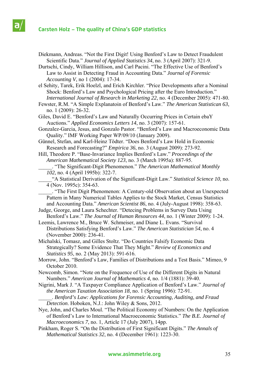Diekmann, Andreas. "Not the First Digit! Using Benford's Law to Detect Fraudulent Scientific Data." *Journal of Applied Statistics 34*, no. 3 (April 2007): 321-9.

Durtschi, Cindy, William Hillison, and Carl Pacini. "The Effective Use of Benford's Law to Assist in Detecting Fraud in Accounting Data." *Journal of Forensic Accounting V*, no 1 (2004): 17-34.

el Sehity, Tarek, Erik Hoelzl, and Erich Kirchler. "Price Developments after a Nominal Shock: Benford's Law and Psychological Pricing after the Euro Introduction." *International Journal of Research in Marketing 22*, no. 4 (December 2005): 471-80.

Fewster, R.M. "A Simple Explanatoin of Benford's Law." *The American Statistican 63*, no. 1 (2009): 26-32.

Giles, David E. "Benford's Law and Naturally Occurring Prices in Certain ebaY Auctions." *Applied Economics Letters 14*, no. 3 (2007): 157-61.

Gonzalez-Garcia, Jesus, and Gonzalo Pastor. "Benford's Law and Macroeconomic Data Quality." IMF Working Paper WP/09/10 (January 2009).

Günnel, Stefan, and Karl-Heinz Tödter. "Does Benford's Law Hold in Economic Research and Forecasting?" *Empirica 36*, no. 3 (August 2009): 273-92.

Hill, Theodore P. "Base-Invariance Implies Benford's Law." *Proceedings of the American Mathematical Society 123*, no. 3 (March 1995a): 887-95.

\_\_\_\_\_. "The Significant-Digit Phenomenon." *The American Mathematical Monthly 102*, no. 4 (April 1995b): 322-7.

\_\_\_\_\_"A Statistical Derivation of the Significant-Digit Law." *Statistical Science 10*, no. 4 (Nov. 1995c): 354-63.

\_\_\_\_\_. "The First Digit Phenomenon: A Century-old Observation about an Unexpected Pattern in Many Numerical Tables Applies to the Stock Market, Census Statistics and Accounting Data." *American Scientist 86*, no. 4 (July-August 1998): 358-63.

Judge, George, and Laura Schechter. "Detecing Problems in Survey Data Using Benford's Law." *The Journal of Human Resources 44*, no. 1 (Winter 2009): 1-24.

Leemis, Lawrence M., Bruce W. Schmeiser, and Diane L. Evans. "Survival Distributions Satisfying Benford's Law." *The American Statistician 54*, no. 4 (November 2000): 236-41.

Michalski, Tomasz, and Gilles Stoltz. "Do Countries Falsify Economic Data Strategically? Some Evidence That They Might." *Review of Economics and Statistics 95*, no. 2 (May 2013): 591-616.

Morrow, John. "Benford's Law, Families of Distributions and a Test Basis." Mimeo, 9 October 2010.

- Newcomb, Simon. "Note on the Frequence of Use of the Different Digits in Natural Numbers." *American Journal of Mathematics 4*, no. 1/4 (1881): 39-40.
- Nigrini, Mark J. "A Taxpayer Compliance Application of Benford's Law." *Journal of the American Taxation Association 18*, no. 1 (Spring 1996): 72-91.

\_\_\_\_\_. *Benford's Law: Applications for Forensic Accounting, Auditing, and Fraud Detection*. Hoboken, N.J.: John Wiley & Sons, 2012.

Nye, John, and Charles Moul. "The Political Economy of Numbers: On the Application of Benford's Law to International Macroeconomic Statistics." *The B.E. Journal of Macroeconomics 7*, no. 1, Article 17 (July 2007), 14pp.

Pinkham, Roger S. "On the Distribution of First Significant Digits." *The Annals of Mathematical Statistics 32*, no. 4 (December 1961): 1223-30.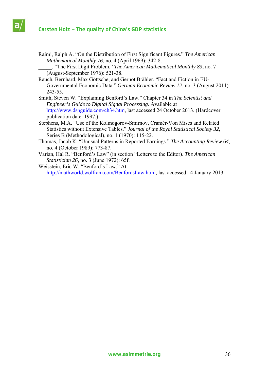# **Carsten Holz – The quality of China's GDP statistics**

Raimi, Ralph A. "On the Distribution of First Significant Figures." *The American Mathematical Monthly 76*, no. 4 (April 1969): 342-8.

\_\_\_\_\_. "The First Digit Problem." *The American Mathematical Monthly 83*, no. 7 (August-September 1976): 521-38.

- Rauch, Bernhard, Max Göttsche, and Gernot Brähler. "Fact and Fiction in EU-Governmental Economic Data." *German Economic Review 12*, no. 3 (August 2011): 243-55.
- Smith, Steven W. "Explaining Benford's Law." Chapter 34 in *The Scientist and Engineer's Guide to Digital Signal Processing*. Available at http://www.dspguide.com/ch34.htm, last accessed 24 October 2013. (Hardcover publication date: 1997.)
- Stephens, M.A. "Use of the Kolmogorov-Smirnov, Cramér-Von Mises and Related Statistics without Extensive Tables." *Journal of the Royal Statistical Society 32*, Series B (Methodological), no. 1 (1970): 115-22.
- Thomas, Jacob K. "Unusual Patterns in Reported Earnings." *The Accounting Review 64*, no. 4 (October 1989): 773-87.
- Varian, Hal R. "Benford's Law" (in section "Letters to the Editor). *The American Statistician 26*, no. 3 (June 1972): 65f.
- Weisstein, Eric W. "Benford's Law." At http://mathworld.wolfram.com/BenfordsLaw.html, last accessed 14 January 2013.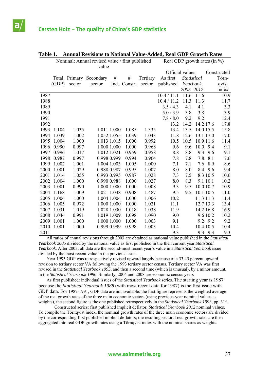a

|      | Nominal: Annual revised value / first published<br>value |         |             |      |              |          |                 |             | Real GDP growth rates (in $\%$ ) |     |             |
|------|----------------------------------------------------------|---------|-------------|------|--------------|----------|-----------------|-------------|----------------------------------|-----|-------------|
|      |                                                          |         |             |      |              |          | Official values |             |                                  |     | Constructed |
|      | Total                                                    | Primary | Secondary   | $\#$ | $\#$         | Tertiary | As first        | Statistical |                                  |     | Törn-       |
|      | (GDP)                                                    | sector  | sector      |      | Ind. Constr. | sector   | published       | Yearbook    |                                  |     | qvist       |
|      |                                                          |         |             |      |              |          |                 | 2005 2012   |                                  |     | index       |
| 1987 |                                                          |         |             |      |              |          | 10.4 / 11.1     | 11.6        | 11.6                             |     | 10.9        |
| 1988 |                                                          |         |             |      |              |          | 10.4 / 11.2     | 11.3        | 11.3                             |     | 11.7        |
| 1989 |                                                          |         |             |      |              |          | 3.5/4.3         | 4.1         | 4.1                              |     | 3.3         |
| 1990 |                                                          |         |             |      |              |          | 5.0/3.9         | 3.8         | 3.8                              |     | 3.9         |
| 1991 |                                                          |         |             |      |              |          | 7.8 / 8.0       | 9.2         | 9.2                              |     | 12.4        |
| 1992 |                                                          |         |             |      |              |          | 13.2            | 14.2        | 14.2 17.6                        |     | 17.8        |
| 1993 | 1.104                                                    | 1.035   | 1.011 1.000 |      | 1.085        | 1.335    | 13.4            | 13.5        | 14.0 15.5                        |     | 15.8        |
| 1994 | 1.039                                                    | 1.002   | 1.052 1.055 |      | 1.039        | 1.043    | 11.8            | 12.6        | 13.1 17.0                        |     | 17.0        |
| 1995 | 1.004                                                    | 1.000   | 1.013 1.015 |      | 1.000        | 0.992    | 10.5            | 10.5        | 10.9 11.6                        |     | 11.4        |
| 1996 | 0.990                                                    | 0.997   | 1.000 1.000 |      | 1.000        | 0.968    | 9.6             | 9.6         | 10.0                             | 9.4 | 9.1         |
| 1997 | 0.996                                                    | 1.017   | 1.012 1.021 |      | 0.959        | 0.958    | 8.8             | 8.8         | 9.3                              | 9.6 | 9.1         |
| 1998 | 0.987                                                    | 0.997   | 0.998 0.999 |      | 0.994        | 0.964    | 7.8             | 7.8         | 7.8                              | 8.1 | 7.6         |
| 1999 | 1.002                                                    | 1.001   | 1.004 1.003 |      | 1.005        | 1.000    | 7.1             | 7.1         | 7.6                              | 8.9 | 8.6         |
| 2000 | 1.001                                                    | 1.029   | 0.988 0.987 |      | 0.995        | 1.007    | 8.0             | 8.0         | 8.4                              | 9.6 | 9.4         |
| 2001 | 1.014                                                    | 1.055   | 0.993 0.995 |      | 0.987        | 1.028    | 7.3             | 7.5         | 8.3 10.5                         |     | 10.6        |
| 2002 | 1.004                                                    | 1.000   | 0.990 0.988 |      | 1.000        | 1.027    | 8.0             | 8.3         | 9.1 10.1                         |     | 10.2        |
| 2003 | 1.001                                                    | 0.990   | 1.000 1.000 |      | 1.000        | 1.008    | 9.3             | 9.5         | 10.0 10.7                        |     | 10.9        |
| 2004 | 1.168                                                    | 1.009   | 1.021 1.038 |      | 0.908        | 1.487    | 9.5             | 9.5         | 10.1 10.5                        |     | 11.0        |
| 2005 | 1.004                                                    | 1.000   | 1.004 1.004 |      | 1.000        | 1.006    | 10.2            |             | 11.3 11.3                        |     | 11.4        |
| 2006 | 1.005                                                    | 0.972   | 1.000 1.000 |      | 1.000        | 1.021    | 11.1            |             | 12.7 13.3                        |     | 13.4        |
| 2007 | 1.031                                                    | 1.019   | 1.028 1.030 |      | 1.018        | 1.038    | 11.9            |             | 14.2 16.8                        |     | 16.9        |
| 2008 | 1.044                                                    | 0.991   | 1.019 1.009 |      | 1.098        | 1.090    | 9.0             |             | 9.6 10.2                         |     | 10.2        |
| 2009 | 1.001                                                    | 1.000   | 1.000 1.000 |      | 1.000        | 1.003    | 9.1             |             | 9.2 9.2                          |     | 9.2         |
| 2010 | 1.001                                                    | 1.000   | 0.999 0.999 |      | 0.998        | 1.003    | 10.4            |             | 10.4 10.5                        |     | 10.4        |
| 2011 |                                                          |         |             |      |              |          | 9.3             |             | 9.3 9.3                          |     | 9.3         |

### **Table 1. Annual Revisions to National Value-Added, Real GDP Growth Rates**

All ratios of annual revisions through 2003 are obtained as national value published in the *Statistical Yearbook 2005* divided by the national value as first published in the then current year *Statistical Yearbook*. After 2003, all data are the second-most recent year's value in a *Statistical Yearbook* issue divided by the most recent value in the previous issue.

 Year 1993 GDP was retrospectively revised upward largely because of a 33.45 percent upward revision to tertiary sector VA following the 1993 tertiary sector census. Tertiary sector VA was first revised in the *Statistical Yearbook 1995*, and then a second time (which is unusual), by a minor amount, in the *Statistical Yearbook 1996*. Similarly, 2004 and 2008 are economic census years

 As first published: individual issues of the *Statistical Yearbook* series. The starting year is 1987 because the *Statistical Yearbook 1988* (with most recent data for 1987) is the first issue with GDP data. For 1987-1991, GDP data are not available: the first figure represents the weighted average of the real growth rates of the three main economic sectors (using previous-year nominal values as weights), the second figure is the one published retrospectively in the *Statistical Yearbook 1993*, pp. 31f.

 Constructed series: first published implicit deflator, *Statistical Yearbook 2012* nominal values. To compile the Törnqvist index, the nominal growth rates of the three main economic sectors are divided by the corresponding first published implicit deflators; the resulting sectoral real growth rates are then aggregated into real GDP growth rates using a Törnqvist index with the nominal shares as weights.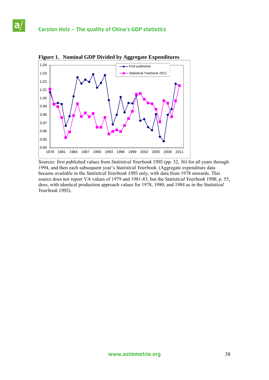a



**Figure 1. Nominal GDP Divided by Aggregate Expenditures** 

Sources: first published values from *Statistical Yearbook 1995* (pp. 32, 36) for all years through 1994, and then each subsequent year's *Statistical Yearbook*. (Aggregate expenditure data became available in the *Statistical Yearbook 1995* only, with data from 1978 onwards. This source does not report VA values of 1979 and 1981-83, but the *Statistical Yearbook 1998*, p. 55, does, with identical production approach values for 1978, 1980, and 1984 as in the *Statistical Yearbook 1995*).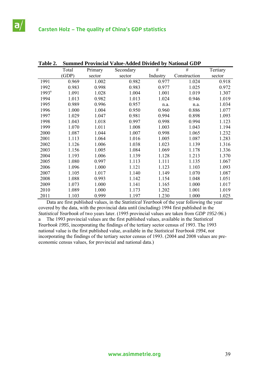$a<sub>i</sub>$ 

| Table 2. |       |         | <b>Summed Provincial Value-Added Divided by National GDP</b> |          |              |          |
|----------|-------|---------|--------------------------------------------------------------|----------|--------------|----------|
|          | Total | Primary | Secondary                                                    | $\#$     | $\#$         | Tertiary |
|          | (GDP) | sector  | sector                                                       | Industry | Construction | sector   |
| 1991     | 0.969 | 1.002   | 0.982                                                        | 0.977    | 1.024        | 0.918    |
| 1992     | 0.983 | 0.998   | 0.983                                                        | 0.977    | 1.025        | 0.972    |
| $1993^a$ | 1.091 | 1.028   | 1.004                                                        | 1.001    | 1.019        | 1.307    |
| 1994     | 1.013 | 0.982   | 1.013                                                        | 1.024    | 0.946        | 1.019    |
| 1995     | 0.989 | 0.996   | 0.957                                                        | n.a.     | n.a.         | 1.034    |
| 1996     | 1.000 | 1.004   | 0.950                                                        | 0.960    | 0.886        | 1.077    |
| 1997     | 1.029 | 1.047   | 0.981                                                        | 0.994    | 0.898        | 1.093    |
| 1998     | 1.043 | 1.018   | 0.997                                                        | 0.998    | 0.994        | 1.123    |
| 1999     | 1.070 | 1.011   | 1.008                                                        | 1.003    | 1.043        | 1.194    |
| 2000     | 1.087 | 1.044   | 1.007                                                        | 0.998    | 1.065        | 1.232    |
| 2001     | 1.113 | 1.064   | 1.016                                                        | 1.005    | 1.087        | 1.283    |
| 2002     | 1.126 | 1.006   | 1.038                                                        | 1.023    | 1.139        | 1.316    |
| 2003     | 1.156 | 1.005   | 1.084                                                        | 1.069    | 1.178        | 1.336    |
| 2004     | 1.193 | 1.006   | 1.139                                                        | 1.128    | 1.213        | 1.370    |
| 2005     | 1.080 | 0.997   | 1.113                                                        | 1.111    | 1.135        | 1.067    |
| 2006     | 1.096 | 1.000   | 1.121                                                        | 1.123    | 1.103        | 1.093    |
| 2007     | 1.105 | 1.017   | 1.140                                                        | 1.149    | 1.070        | 1.087    |
| 2008     | 1.088 | 0.993   | 1.142                                                        | 1.154    | 1.048        | 1.051    |
| 2009     | 1.073 | 1.000   | 1.141                                                        | 1.165    | 1.000        | 1.017    |
| 2010     | 1.089 | 1.000   | 1.173                                                        | 1.202    | 1.001        | 1.019    |
| 2011     | 1.103 | 0.999   | 1.197                                                        | 1.230    | 1.000        | 1.025    |

**Table 2. Summed Provincial Value-Added Divided by National GDP** 

 Data are first published values, in the *Statistical Yearbook* of the year following the year covered by the data, with the provincial data until (including) 1994 first published in the *Statistical Yearbook* of two years later. (1995 provincial values are taken from *GDP 1952-96*.) a The 1993 provincial values are the first published values, available in the *Statistical Yearbook 1995*, incorporating the findings of the tertiary sector census of 1993. The 1993 national value is the first published value, available in the *Statistical Yearbook 1994*, *not* incorporating the findings of the tertiary sector census of 1993. (2004 and 2008 values are preeconomic census values, for provincial and national data.)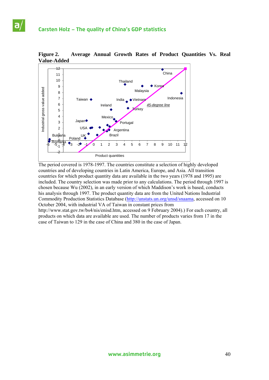

**Figure 2. Average Annual Growth Rates of Product Quantities Vs. Real Value-Added** 

The period covered is 1978-1997. The countries constitute a selection of highly developed countries and of developing countries in Latin America, Europe, and Asia. All transition countries for which product quantity data are available in the two years (1978 and 1995) are included. The country selection was made prior to any calculations. The period through 1997 is chosen because Wu (2002), in an early version of which Maddison's work is based, conducts his analysis through 1997. The product quantity data are from the United Nations Industrial Commodity Production Statistics Database (http://unstats.un.org/unsd/snaama, accessed on 10 October 2004, with industrial VA of Taiwan in constant prices from http://www.stat.gov.tw/bs4/nis/enisd.htm, accessed on 9 February 2004).) For each country, all products on which data are available are used. The number of products varies from 17 in the

case of Taiwan to 129 in the case of China and 380 in the case of Japan.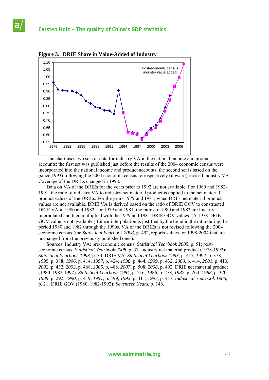

**Figure 3. DRIE Share in Value-Added of Industry**

 The chart uses two sets of data for industry VA in the national income and product accounts: the first set was published just before the results of the 2004 economic census were incorporated into the national income and product accounts, the second set is based on the (since 1993) following the 2004 economic census retrospectively (upward) revised industry VA. Coverage of the DRIEs changed in 1998.

 Data on VA of the DRIEs for the years prior to 1992 are not available. For 1980 and 1982- 1991, the ratio of industry VA to industry net material product is applied to the net material product values of the DRIEs. For the years 1979 and 1981, when DRIE net material product values are not available, DRIE VA is derived based on the ratio of DRIE GOV to constructed DRIE VA in 1980 and 1982; for 1979 and 1981, the ratios of 1980 and 1982 are linearly interpolated and then multiplied with the 1979 and 1981 DRIE GOV values. (A 1978 DRIE GOV value is not available.) Linear interpolation is justified by the trend in the ratio during the period 1980 and 1982 through the 1990s. VA of the DRIEs is not revised following the 2004 economic census (the *Statistical Yearbook 2008*, p. 492, reports values for 1998-2004 that are unchanged from the previously published ones).

 Sources: Industry VA: pre-economic census: *Statistical Yearbook 2005*, p. 51; posteconomic census: *Statistical Yearbook 2008*, p. 37. Industry net material product (1978-1992): *Statistical Yearbook 1993*, p. 33. DRIE VA: *Statistical Yearbook 1993*, p. 417, *1994*, p. 378, *1995*, p. 388, *1996*, p. 414, *1997*, p. 424, *1998*, p. 444, *1999*, p. 432, *2000*, p. 414, *2001*, p. 410, *2002*, p. 432, *2003*, p. 468, *2005*, p. 488, *2007*, p. 508, *2008*, p. 492. DRIE net material product (1980, 1982-1992): *Statistical Yearbook 1984*, p. 216, *1986*, p. 278, *1987*, p. 263, *1988*, p. 320, *1989*, p. 292, *1990*, p. 419, *1991*, p. 399, *1992*, p. 411, *1993*, p. 417, *Industrial Yearbook 1986*, p. 21; DRIE GOV (1980, 1982-1992): *Seventeen Years*, p. 146.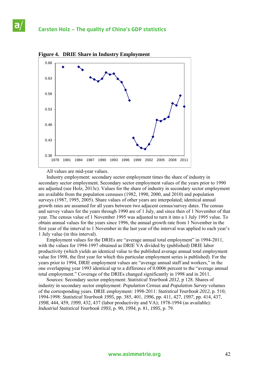



All values are mid-year values.

 Industry employment: secondary sector employment times the share of industry in secondary sector employment. Secondary sector employment values of the years prior to 1990 are adjusted (see Holz, 2013c). Values for the share of industry in secondary sector employment are available from the population censuses (1982, 1990, 2000, and 2010) and population surveys (1987, 1995, 2005). Share values of other years are interpolated; identical annual growth rates are assumed for all years between two adjacent census/survey dates. The census and survey values for the years through 1990 are of 1 July, and since then of 1 November of that year. The census value of 1 November 1995 was adjusted to turn it into a 1 July 1995 value. To obtain annual values for the years since 1996, the annual growth rate from 1 November in the first year of the interval to 1 November in the last year of the interval was applied to each year's 1 July value (in this interval).

 Employment values for the DRIEs are "average annual total employment" in 1994-2011, with the values for 1994-1997 obtained as DRIE VA divided by (published) DRIE labor productivity (which yields an identical value to the published average annual total employment value for 1998, the first year for which this particular employment series is published). For the years prior to 1994, DRIE employment values are "average annual staff and workers," in the one overlapping year 1993 identical up to a difference of 0.0006 percent to the "average annual total employment." Coverage of the DRIEs changed significantly in 1998 and in 2011.

 Sources: Secondary sector employment: *Statistical Yearbook 2012*, p 128. Shares of industry in secondary sector employment: *Population Census* and *Population Survey* volumes of the corresponding years. DRIE employment: 1998-2011: *Statistical Yearbook 2012*, p. 510; 1994-1998: *Statistical Yearbook 1995*, pp. 385, 401, *1996*, pp. 411, 427, *1997*, pp. 414, 437, *1998*, 444, 459, *1999*, 432, 437 (labor productivity and VA); 1978-1994 (as available): *Industrial Statistical Yearbook 1993*, p. 90, *1994*, p. 81, *1995*, p. 79.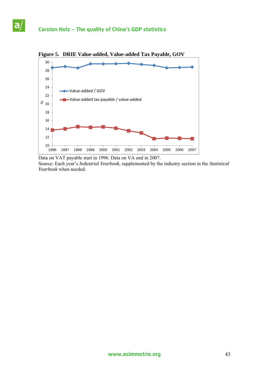$a$ 



Data on VAT payable start in 1996. Data on VA end in 2007. Source: Each year's *Industrial Yearbook*, supplemented by the industry section in the *Statistical Yearbook* when needed.

**Figure 5. DRIE Value-added, Value-added Tax Payable, GOV**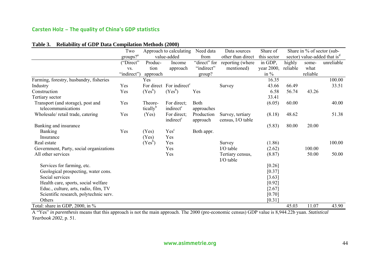# **Carsten Holz – The quality of China's GDP statistics**

|                                         | Two                                    |                      | Approach to calculating              | Need data              | Data sources                          | Share of    |          | Share in $\%$ of sector (sub- |                                          |
|-----------------------------------------|----------------------------------------|----------------------|--------------------------------------|------------------------|---------------------------------------|-------------|----------|-------------------------------|------------------------------------------|
|                                         | $\frac{\text{groups}}{2}$ <sup>a</sup> |                      | value-added                          | from                   | other than direct                     | this sector |          |                               | sector) value-added that is <sup>d</sup> |
|                                         | ("Direct"                              | Produc-              | Income                               | "direct" for           | reporting (where                      | in GDP,     | highly   | some-                         | unreliable                               |
|                                         | VS.                                    | tion                 | approach                             | "indirect"             | mentioned)                            | year 2000,  | reliable | what                          |                                          |
|                                         | "indirect")                            | approach             |                                      | group?                 |                                       | in $\%$     |          | reliable                      |                                          |
| Farming, forestry, husbandry, fisheries |                                        | Yes                  |                                      |                        |                                       | 16.35       |          |                               | 100.00                                   |
| Industry                                | Yes                                    |                      | For direct For indirect <sup>c</sup> |                        | Survey                                | 43.66       | 66.49    |                               | 33.51                                    |
| Construction                            | Yes                                    | $(Yes^b)$            | $(Yes^b)$                            | Yes                    |                                       | 6.58        | 56.74    | 43.26                         |                                          |
| Tertiary sector                         |                                        |                      |                                      |                        |                                       | 33.41       |          |                               |                                          |
| Transport (and storage), post and       | Yes                                    | Theore-              | For direct:                          | Both                   |                                       | (6.05)      | 60.00    |                               | 40.00                                    |
| telecommunications                      |                                        | tically <sup>b</sup> | indirect <sup>c</sup>                | approaches             |                                       |             |          |                               |                                          |
| Wholesale/retail trade, catering        | Yes                                    | (Yes)                | For direct:<br>indirect <sup>c</sup> | Production<br>approach | Survey, tertiary<br>census, I/O table | (8.18)      | 48.62    |                               | 51.38                                    |
| Banking and insurance                   |                                        |                      |                                      |                        |                                       | (5.83)      | 80.00    | 20.00                         |                                          |
| <b>Banking</b>                          | Yes                                    | (Yes)                | Yes <sup>c</sup>                     | Both appr.             |                                       |             |          |                               |                                          |
| Insurance                               |                                        | (Yes)                | Yes                                  |                        |                                       |             |          |                               |                                          |
| Real estate                             |                                        | $(Yes^b)$            | Yes                                  |                        | Survey                                | (1.86)      |          |                               | 100.00                                   |
| Government, Party, social organizations |                                        |                      | Yes                                  |                        | I/O table                             | (2.62)      |          | 100.00                        |                                          |
| All other services                      |                                        |                      | Yes                                  |                        | Tertiary census,<br>I/O table         | (8.87)      |          | 50.00                         | 50.00                                    |
| Services for farming, etc.              |                                        |                      |                                      |                        |                                       | [0.26]      |          |                               |                                          |
| Geological prospecting, water cons.     |                                        |                      |                                      |                        |                                       | [0.37]      |          |                               |                                          |
| Social services                         |                                        |                      |                                      |                        |                                       | [3.63]      |          |                               |                                          |
| Health care, sports, social welfare     |                                        |                      |                                      |                        |                                       | [0.92]      |          |                               |                                          |
| Educ., culture, arts, radio, film, TV   |                                        |                      |                                      |                        |                                       | $[2.67]$    |          |                               |                                          |
| Scientific research, polytechnic serv.  |                                        |                      |                                      |                        |                                       | [0.70]      |          |                               |                                          |
| Others                                  |                                        |                      |                                      |                        |                                       | [0.31]      |          |                               |                                          |
| Total: share in GDP, 2000, in %         |                                        |                      |                                      |                        |                                       |             | 45.03    | 11.07                         | 43.90                                    |

# **Table 3. Reliability of GDP Data Compilation Methods (2000)**

A "Yes" *in parenthesis* means that this approach is not the main approach. The 2000 (pre-economic census) GDP value is 8,944.22b yuan. *Statistical Yearbook 2002*, p. 51.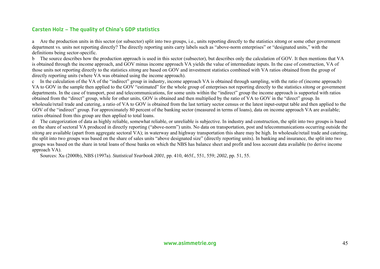# **Carsten Holz – The quality of China's GDP statistics**

a Are the production units in this sector (or subsector) split into two groups, i.e., units reporting directly to the statistics *xitong* or some other government department vs. units not reporting directly? The directly reporting units carry labels such as "above-norm enterprises" or "designated units," with the definitions being sector-specific.

b The source describes how the production approach is used in this sector (subsector), but describes only the calculation of GOV. It then mentions that VA is obtained through the income approach, and GOV minus income approach VA yields the value of intermediate inputs. In the case of construction, VA of those units not reporting directly to the statistics *xitong* are based on GOV and investment statistics combined with VA ratios obtained from the group of directly reporting units (where VA was obtained using the income approach).

c In the calculation of the VA of the "indirect" group in industry, income approach VA is obtained through sampling, with the ratio of (income approach) VA to GOV in the sample then applied to the GOV "estimated" for the whole group of enterprises not reporting directly to the statistics *xitong* or governmen<sup>t</sup> departments. In the case of transport, post and telecommunications, for some units within the "indirect" group the income approach is supported with ratios obtained from the "direct" group, while for other units, GOV is obtained and then multiplied by the ratio of VA to GOV in the "direct" group. In wholesale/retail trade and catering, a ratio of VA to GOV is obtained from the last tertiary sector census or the latest input-output table and then applied to the GOV of the "indirect" group. For approximately 80 percent of the banking sector (measured in terms of loans), data on income approach VA are available; ratios obtained from this group are then applied to total loans.

d The categorization of data as highly reliable, somewhat reliable, or unreliable is subjective. In industry and construction, the split into two groups is based on the share of sectoral VA produced in directly reporting ("above-norm") units. No data on transportation, post and telecommunications occurring outside the *xitong* are available (apart from aggregate sectoral VA); in waterway and highway transportation this share may be high. In wholesale/retail trade and catering, the split into two groups was based on the share of sales units "above designated size" (directly reporting units). In banking and insurance, the split into two groups was based on the share in total loans of those banks on which the NBS has balance sheet and profit and loss account data available (to derive income approach VA).

Sources: Xu (2000b), NBS (1997a). *Statistical Yearbook 2001*, pp. 410, 465f., 551, 559; *2002*, pp. 51, 55.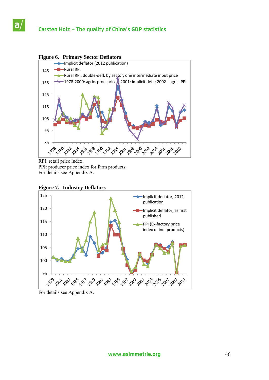a



RPI: retail price index. PPI: producer price index for farm products. For details see Appendix A.



### **Figure 7. Industry Deflators**

For details see Appendix A.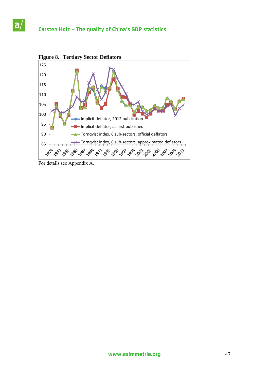

For details see Appendix A.

a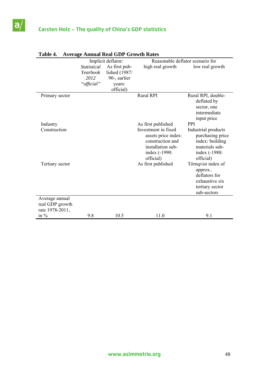

|                                                      |                                               | Implicit deflator:                                                    | Reasonable deflator scenario for                                                                                                        |                                                                                                                          |
|------------------------------------------------------|-----------------------------------------------|-----------------------------------------------------------------------|-----------------------------------------------------------------------------------------------------------------------------------------|--------------------------------------------------------------------------------------------------------------------------|
|                                                      | Statistical<br>Yearbook<br>2012<br>"official" | As first pub-<br>lished (1987/<br>90-, earlier<br>years:<br>official) | high real growth                                                                                                                        | low real growth                                                                                                          |
| Primary sector                                       |                                               |                                                                       | <b>Rural RPI</b>                                                                                                                        | Rural RPI, double-<br>deflated by<br>sector, one<br>intermediate<br>input price                                          |
| Industry<br>Construction                             |                                               |                                                                       | As first published<br>Investment in fixed<br>assets price index:<br>construction and<br>installation sub-<br>index (-1990:<br>official) | <b>PPI</b><br>Industrial products<br>purchasing price<br>index: building<br>materials sub-<br>index (-1988:<br>official) |
| Tertiary sector                                      |                                               |                                                                       | As first published                                                                                                                      | Törnqvist index of<br>approx<br>deflators for<br>exhaustive six<br>tertiary sector<br>sub-sectors                        |
| Average annual<br>real GDP growth<br>rate 1978-2011, |                                               |                                                                       |                                                                                                                                         |                                                                                                                          |
| in $%$                                               | 9.8                                           | 10.5                                                                  | 11.0                                                                                                                                    | 9.1                                                                                                                      |

### **Table 4. Average Annual Real GDP Growth Rates**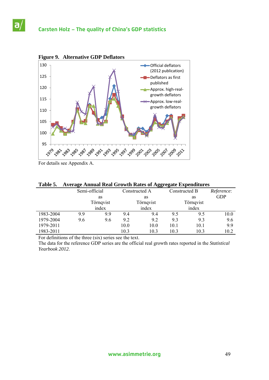

For details see Appendix A.

a

| Table 5. Average Annual Real Growth Rates of Aggregate Expenditures |  |
|---------------------------------------------------------------------|--|
|---------------------------------------------------------------------|--|

|           | Semi-official |           |      | Constructed A |      | Constructed B | Reference: |  |  |
|-----------|---------------|-----------|------|---------------|------|---------------|------------|--|--|
|           | as            |           |      | as            |      | as            | <b>GDP</b> |  |  |
|           |               | Törnqvist |      | Törnqvist     |      | Törnqvist     |            |  |  |
|           |               | index     |      | index         |      | index         |            |  |  |
| 1983-2004 | 9.9           | 9.9       | 9.4  | 9.4           | 9.5  | 9.5           | 10.0       |  |  |
| 1979-2004 | 9.6           | 9.6       | 9.2  | 9.2           | 9.3  | 9.3           | 9.6        |  |  |
| 1979-2011 |               |           | 10.0 | 10.0          | 10.1 | 10.1          | 9.9        |  |  |
| 1983-2011 |               |           | 10.3 | 10.3          | 10.3 | 10.3          | 10.2       |  |  |

For definitions of the three (six) series see the text.

The data for the reference GDP series are the official real growth rates reported in the *Statistical Yearbook 2012*.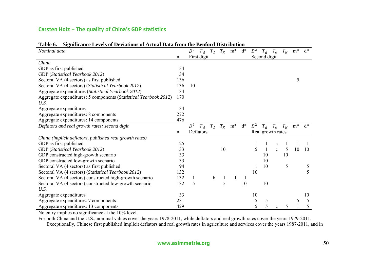# **Carsten Holz – The quality of China's GDP statistics**

| Nominal data                                                     |     | $D^2$       |               |       |         | $T_{\bar{d}}$ $T_d$ $T_K$ m* | $d^*$ | $D^2$ | $T_{\bar{d}}$ $T_d$ |              | $T_K$ | $m^*$ | $d^*$ |
|------------------------------------------------------------------|-----|-------------|---------------|-------|---------|------------------------------|-------|-------|---------------------|--------------|-------|-------|-------|
|                                                                  | n   | First digit |               |       |         |                              |       |       | Second digit        |              |       |       |       |
| China                                                            |     |             |               |       |         |                              |       |       |                     |              |       |       |       |
| GDP as first published                                           | 34  |             |               |       |         |                              |       |       |                     |              |       |       |       |
| GDP (Statistical Yearbook 2012)                                  | 34  |             |               |       |         |                              |       |       |                     |              |       |       |       |
| Sectoral VA (4 sectors) as first published                       | 136 |             |               |       |         |                              |       |       |                     |              |       | 5     |       |
| Sectoral VA (4 sectors) (Statistical Yearbook 2012)              | 136 | 10          |               |       |         |                              |       |       |                     |              |       |       |       |
| Aggregate expenditures (Statistical Yearbook 2012)               | 34  |             |               |       |         |                              |       |       |                     |              |       |       |       |
| Aggregate expenditures: 5 components (Statistical Yearbook 2012) | 170 |             |               |       |         |                              |       |       |                     |              |       |       |       |
| U.S.                                                             |     |             |               |       |         |                              |       |       |                     |              |       |       |       |
| Aggregate expenditures                                           | 34  |             |               |       |         |                              |       |       |                     |              |       |       |       |
| Aggregate expenditures: 8 components                             | 272 |             |               |       |         |                              |       |       |                     |              |       |       |       |
| Aggregate expenditures: 14 components                            | 476 |             |               |       |         |                              |       |       |                     |              |       |       |       |
| Deflators and real growth rates: second digit                    |     | $D^2$       | $T_{\bar{d}}$ | $T_d$ | $T_K\;$ | $m*$                         | $d^*$ | $D^2$ | $T_{\bar{d}}$       | $T_d$        | $T_K$ | $m*$  | $d^*$ |
|                                                                  |     | Deflators   |               |       |         |                              |       |       | Real growth rates   |              |       |       |       |
| China (implicit deflators, published real growth rates)          |     |             |               |       |         |                              |       |       |                     |              |       |       |       |
| GDP as first published                                           | 25  |             |               |       |         |                              |       |       |                     | a            |       |       |       |
| GDP (Statistical Yearbook 2012)                                  | 33  |             |               |       | 10      |                              |       | 5     |                     | $\mathbf{c}$ | 5     | 10    | 10    |
| GDP constructed high-growth scenario                             | 33  |             |               |       |         |                              |       |       | 10                  |              | 10    |       |       |
| GDP constructed low-growth scenario                              | 33  |             |               |       |         |                              |       |       | 10                  |              |       |       |       |
| Sectoral VA (4 sectors) as first published                       | 94  |             |               |       |         |                              |       |       | 10                  |              | 5     |       | 5     |
| Sectoral VA (4 sectors) (Statistical Yearbook 2012)              | 132 |             |               |       |         |                              |       | 10    |                     |              |       |       | 5     |
| Sectoral VA (4 sectors) constructed high-growth scenario         | 132 |             |               | b     |         |                              |       |       |                     |              |       |       |       |
| Sectoral VA (4 sectors) constructed low-growth scenario          | 132 | 5           |               |       | 5       |                              | 10    |       | 10                  |              |       |       |       |
| U.S.                                                             |     |             |               |       |         |                              |       |       |                     |              |       |       |       |
| Aggregate expenditures                                           | 33  |             |               |       |         |                              |       | 10    |                     |              |       |       | 10    |
|                                                                  |     |             |               |       |         |                              |       |       |                     |              |       |       |       |
| Aggregate expenditures: 7 components                             | 231 |             |               |       |         |                              |       | 5     | 5                   |              |       | 5     | 5     |

# **Table 6. Significance Levels of Deviations of Actual Data from the Benford Distribution**

No entry implies no significance at the 10% level.

For both China and the U.S., nominal values cover the years 1978-2011, while deflators and real growth rates cover the years 1979-2011. Exceptionally, Chinese first published implicit deflators and real growth rates in agriculture and services cover the years 1987-2011, and in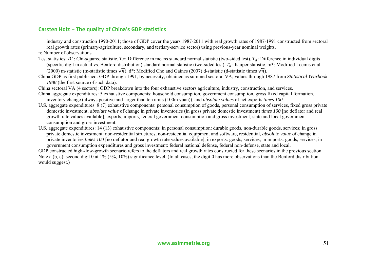# **Carsten Holz – The quality of China's GDP statistics**

industry and construction 1990-2011; those of GDP cover the years 1987-2011 with real growth rates of 1987-1991 constructed from sectoral real growth rates (primary-agriculture, secondary, and tertiary-service sector) using previous-year nominal weights.

n: Number of observations.

- Test statistics:  $D^2$ : Chi-squared statistic.  $T_{\bar{d}}$ : Difference in means standard normal statistic (two-sided test).  $T_d$ : Difference in individual digits (specific digit in actual vs. Benford distribution) standard normal statistic (two-sided test).  $T_K$ : Kuiper statistic. m\*: Modified Leemis et al. (2000) m-statistic (m-statistic times  $\sqrt{n}$ ). d\*: Modified Cho and Gaines (2007) d-statistic (d-statistic times  $\sqrt{n}$ ).
- China GDP as first published: GDP through 1991, by necessity, obtained as summed sectoral VA; values through 1987 from *Statistical Yearbook 1988* (the first source of such data).
- China sectoral VA (4 sectors): GDP breakdown into the four exhaustive sectors agriculture, industry, construction, and services.
- China aggregate expenditures: 5 exhaustive components: household consumption, government consumption, gross fixed capital formation, inventory change (always positive and larger than ten units (100m yuan)), and *absolute values* of net exports *times 100*.
- U.S. aggregate expenditures: 8 (7) exhaustive components: personal consumption of goods, personal consumption of services, fixed gross private domestic investment, *absolute value* of change in private inventories (in gross private domestic investment) *times 100* [no deflator and real growth rate values available], exports, imports, federal government consumption and gross investment, state and local government consumption and gross investment.
- U.S. aggregate expenditures: 14 (13) exhaustive components: in personal consumption: durable goods, non-durable goods, services; in gross private domestic investment: non-residential structures, non-residential equipment and software, residential, *absolute value of* change in private inventories *times 100* [no deflator and real growth rate values available]; in exports: goods, services; in imports: goods, services; in government consumption expenditures and gross investment: federal national defense, federal non-defense, state and local.

GDP constructed high-/low-growth scenario refers to the deflators and real growth rates constructed for these scenarios in the previous section. Note a (b, c): second digit 0 at 1% (5%, 10%) significance level. (In all cases, the digit 0 has more observations than the Benford distribution would suggest.)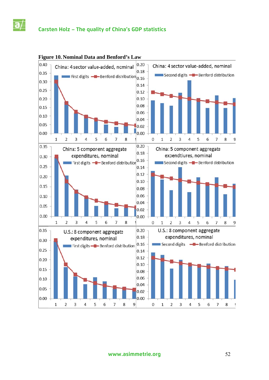# **Cars sten Holz – The qual lity of Chin na's GDP s tatistics**



### **Figure 10. Nominal Data and Benford's Law**

**www .asimmetr ie.org** 52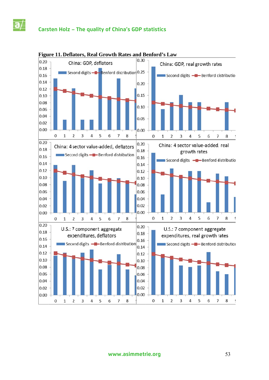# **Cars sten Holz – The qual lity of Chin a's GDP s statistics**



### **Figu ure 11. Defla tors, Real Growth R Rates and B enford's Law**

**www .asimmetr rie.org**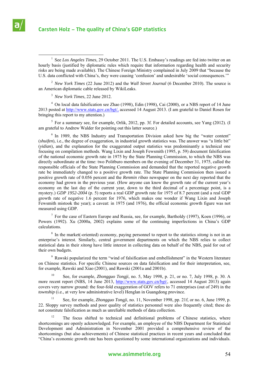

 $\frac{1}{1}$ <sup>1</sup> See *Los Angeles Times*, 29 October 2011. The U.S. Embassy's readings are fed into twitter on an hourly basis (justified by diplomatic rules which require that information regarding health and security risks are being made available). The Chinese Foreign Ministry complained in July 2009 that "because the U.S. data conflicted with China's, they were causing 'confusion' and undesirable 'social consequences.'"

2 *New York Times* (22 June 2012) and the *Wall Street Journal* (6 December 2010). The source is an American diplomatic cable released by WikiLeaks.

3 *New York Times*, 22 June 2012.

<sup>4</sup> On local data falsification see Zhao (1998), Edin (1998), Cai (2000), or a NBS report of 14 June 2013 posted at http://www.stats.gov.cn/bgt/, accessed 14 August 2013. (I am grateful to Daniel Rosen for bringing this report to my attention.)

<sup>5</sup> For a summary see, for example, Orlik, 2012, pp. 3f. For detailed accounts, see Yang (2012). (I am grateful to Andrew Walder for pointing out this latter source.)

<sup>6</sup> In 1989, the NBS Industry and Transportation Division asked how big the "water content" (*shuifen*), i.e., the degree of exaggeration, in industrial growth statistics was. The answer was "a little bit" (*yidian*), and the explanation for the exaggerated output statistics was predominantly a technical one focusing on compilation methods. Wang Lixin and Joseph Fewsmith (1995, p. 59) document falsification of the national economic growth rate in 1975 by the State Planning Commission, to which the NBS was directly subordinate at the time: two Politburo members on the evening of December 31, 1975, called the responsible officials of the State Planning Commission and demanded that the reported negative growth rate be immediately changed to a positive growth rate. The State Planning Commission then issued a positive growth rate of 0.056 percent and the *Renmin ribao* newspaper on the next day reported that the economy had grown in the previous year. (How anyone can know the growth rate of the current year's economy on the last day of the current year, down to the third decimal of a percentage point, is a mystery.) *GDP 1952-2004* (p. 5) reports a real GDP growth rate for 1975 of 8.7 percent (and a real GDP growth rate of negative 1.6 percent for 1976, which makes one wonder if Wang Lixin and Joseph Fewsmith mistook the year); a caveat: in 1975 (and 1976), the official economic growth figure was not measured using GDP.

 $<sup>7</sup>$  For the case of Eastern Europe and Russia, see, for example, Bartholdy (1997), Koen (1996), or</sup> Powers (1992). Xu (2000a, 2002) explains some of the continuing imperfections in China's GDP calculations.

<sup>8</sup> In the market(-oriented) economy, paying personnel to report to the statistics *xitong* is not in an enterprise's interest. Similarly, central government departments on which the NBS relies to collect statistical data in their *xitong* have little interest in collecting data on behalf of the NBS, paid for out of their own budgets.

<sup>9</sup> Rawski popularized the term "wind of falsification and embellishment" in the Western literature on Chinese statistics. For specific Chinese sources on data falsification and for their interpretation, see, for example, Rawski and Xiao (2001), and Rawski (2001a and 2001b).

10 See, for example, *Zhongguo Tongji*, no. 5, May 1998, p. 21, or no. 7, July 1998, p. 30. A more recent report (NBS, 14 June 2013, http://www.stats.gov.cn/bgt/, accessed 14 August 2013) again covers very narrow ground: the four-fold exaggeration of GOV refers to 71 enterprises (out of 249) in the *township* (i.e., at very low administrative level) Henglan in Guangdong province.

11 See, for example, *Zhongguo Tongji*, no. 11, November 1998, pp. 21f, or no. 6, June 1999, p. 22. Sloppy survey methods and poor quality of statistics personnel were also frequently cited; these do not constitute falsification as much as unreliable methods of data collection.

<sup>12</sup> The focus shifted to technical and definitional problems of Chinese statistics, where shortcomings are openly acknowledged. For example, an employee of the NBS Department for Statistical Development and Administration in November 2001 provided a comprehensive review of the shortcomings (but also achievements) of Chinese statistical practices in recent years and concluded that "China's economic growth rate has been questioned by some international organizations and individuals.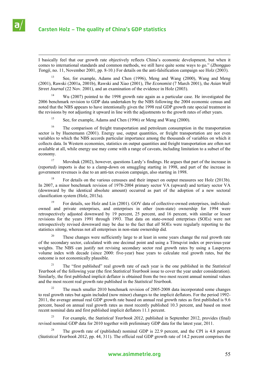

# **Carsten Holz – The quality of China's GDP statistics**

 I basically feel that our growth rate objectively reflects China's economic development, but when it comes to international standards and common methods, we still have quite some ways to go." (*Zhongguo Tongji*, no. 11, November 2001, pp. 8-10.) For details on the anti-falsification campaign see Holz (2003).

13 See, for example, Adams and Chen (1996), Meng and Wang (2000), Wang and Meng (2001), Rawski (2001a, 2001b), Rawski and Xiao (2001), *The Economist* (7 March 2001), the *Asian Wall Street Journal* (22 Nov. 2001), and an examination of the evidence in Holz (2003).

14 Wu (2007) pointed to the 1998 growth rate again as a particular case. He investigated the 2006 benchmark revision to GDP data undertaken by the NBS following the 2004 economic census and noted that the NBS appears to have intentionally given the 1998 real GDP growth rate special treatment in the revisions by *not* adjusting it upward in line with the adjustments to the growth rates of other years.

<sup>15</sup> See, for example, Adams and Chen (1996) or Meng and Wang (2000).

<sup>16</sup> The comparison of freight transportation and petroleum consumption in the transportation sector is by Huenemann (2001). Energy use, output quantities, or freight transportation are not even variables to which the NBS accords particular importance among the thousands of variables on which it collects data. In Western economies, statistics on output quantities and freight transportation are often not available at all, while energy use may come with a range of caveats, including limitation to a subset of the economy.

<sup>17</sup> Movshuk (2002), however, questions Lardy's findings. He argues that part of the increase in (reported) imports is due to a clamp-down on smuggling starting in 1998, and part of the increase in government revenues is due to an anti-tax evasion campaign, also starting in 1998.

18 For details on the various censuses and their impact on output measures see Holz (2013b). In 2007, a minor benchmark revision of 1978-2004 primary sector VA (upward) and tertiary sector VA (downward by the identical absolute amount) occurred as part of the adoption of a new sectoral classification system (Holz, 2013a).

19 For details, see Holz and Lin (2001). GOV data of collective-owned enterprises, individualowned and private enterprises, and enterprises in other (non-state) ownership for 1994 were retrospectively adjusted downward by 19 percent, 25 percent, and 16 percent, with similar or lesser revisions for the years 1991 through 1993. That data on state-owned enterprises (SOEs) were not retrospectively revised downward may be due to the fact that *all* SOEs were regularly reporting to the statistics *xitong*, whereas not all enterprises in non-state ownership did.

These changes were sufficiently large to at least in some years change the real growth rate of the secondary sector, calculated with one decimal point and using a Törnqvist index or previous-year weights. The NBS can justify not revising secondary sector real growth rates by using a Laspeyres volume index with decade (since 2000: five-year) base years to calculate real growth rates, but the outcome is not economically plausible.

21 The "first published" real growth rate of each year is the one published in the *Statistical Yearbook* of the following year (the first *Statistical Yearbook* issue to cover the year under consideration). Similarly, the first published implicit deflator is obtained from the two most recent annual nominal values and the most recent real growth rate published in the *Statistical Yearbook*.

22 The much smaller 2010 benchmark revision of 2005-2008 data incorporated some changes to real growth rates but again included (now minor) changes to the implicit deflators. For the period 1992- 2011, the average annual real GDP growth rate based on annual real growth rates as first published is 9.6 percent, based on annual real growth rates as most recently published 10.3 percent, and based on most recent nominal data and first published implicit deflators 11.1 percent.

23 For example, the *Statistical Yearbook 2012*, published in September 2012, provides (final) revised nominal GDP data for 2010 together with preliminary GDP data for the latest year, 2011.

24 The growth rate of (published) nominal GDP is 22.9 percent, and the CPI is 4.8 percent (*Statistical Yearbook 2012*, pp. 44, 311). The official real GDP growth rate of 14.2 percent comprises the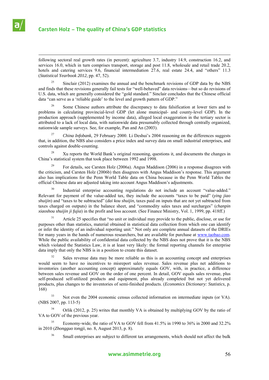

 following sectoral real growth rates (in percent): agriculture 3.7, industry 14.9, construction 16.2, and services 16.0, which in turn comprises transport, storage and post 11.8, wholesale and retail trade 20.2, hotels and catering services 9.6, financial intermediation 27.6, real estate 24.4, and "others" 11.3 (*Statistical Yearbook 2012*, pp. 47, 52).

<sup>25</sup> Sinclair (2012) examines the annual and the benchmark revisions of GDP data by the NBS and finds that these revisions generally fail tests for "well-behaved" data revisions—but so do revisions of U.S. data, which are generally considered the "gold standard." Sinclair concludes that the Chinese official data "can serve as a 'reliable guide' to the level and growth pattern of GDP."

26 Some Chinese authors attribute the discrepancy to data falsification at lower tiers and to problems in calculating provincial-level GDP (let alone municipal- and county-level GDP). In the production approach (supplemented by income data), alleged local exaggeration in the tertiary sector is attributed to a lack of local data, with nationwide data presumably collected through centrally organized, nationwide sample surveys. See, for example, Pan and An (2003).

27 *China Infobank*, 29 February 2000. Li Deshui's 2004 reasoning on the differences suggests that, in addition, the NBS also considers a price index and survey data on small industrial enterprises, and controls against double-counting.

<sup>28</sup> Xu reports the World Bank's original reasoning, questions it, and documents the changes in China's statistical system that took place between 1992 and 1998.

<sup>29</sup> For details, see Carsten Holz (2006a). Angus Maddison (2006) in a response disagrees with the criticism, and Carsten Holz (2006b) then disagrees with Angus Maddison's response. This argument also has implications for the Penn World Table data on China because in the Penn World Tables the official Chinese data are adjusted taking into account Angus Maddison's adjustments.

<sup>30</sup> Industrial enterprise accounting regulations do not include an account "value-added." Relevant for payment of the value-added tax, they include the accounts "taxes to be paid" (*ying jiao shuijin*) and "taxes to be subtracted" (*dai kou shuijin*, taxes paid on inputs that are not yet subtracted from taxes charged on outputs) in the balance sheet, and "commodity sales taxes and surcharges" (*chanpin xiaoshou shuijin ji fujia*) in the profit and loss account. (See Finance Ministry, Vol. 1, 1999, pp. 418ff.)

31 Article 25 specifies that "no unit or individual may provide to the public, disclose, or use for purposes other than statistics, material obtained in statistical data collection from which one can identify or infer the identity of an individual reporting unit." Not only are complete annual datasets of the DRIEs for many years in the hands of numerous researchers, but are available for purchase at www.taobao.com. While the public availability of confidential data collected by the NBS does not prove that it is the NBS which violated the Statistics Law, it is at least very likely: the formal reporting channels for enterprise data imply that only the NBS is in a position to create this dataset.

<sup>32</sup> Sales revenue data may be more reliable as this is an accounting concept and enterprises would seem to have no incentives to misreport sales revenue. Sales revenue plus net additions to inventories (another accounting concept) approximately equals GOV, with, in practice, a difference between sales revenue and GOV on the order of one percent. In detail, GOV equals sales revenue, plus self-produced self-utilized products and equipment, plus already completed but not yet delivered products, plus changes to the inventories of semi-finished products. (*Economics Dictionary: Statistics*, p. 168)

<sup>33</sup> Not even the 2004 economic census collected information on intermediate inputs (or VA). (NBS 2007, pp. 113-5)

34 Orlik (2012, p. 25) writes that monthly VA is obtained by multiplying GOV by the ratio of VA to GOV of the previous year.

35 Economy-wide, the ratio of VA to GOV fell from 41.5% in 1990 to 36% in 2000 and 32.2% in 2010 (*Zhongguo tongji*, no. 8, August 2013, p. 8).

<sup>36</sup> Small enterprises are subject to different tax arrangements, which should not affect the bulk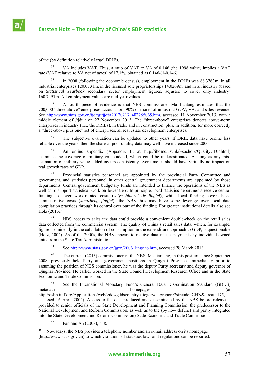

of the (by definition relatively large) DRIEs.

<sup>37</sup> VA includes VAT. Thus, a ratio of VAT to VA of 0.146 (the 1998 value) implies a VAT rate (VAT relative to VA net of taxes) of 17.1%, obtained as 0.146/(1-0.146).

In 2008 (following the economic census), employment in the DRIEs was 88.3763m, in all industrial enterprises 120.0731m, in the licensed sole proprietorships 14.0269m, and in all industry (based on *Statistical Yearbook* secondary sector employment figures, adjusted to cover only industry) 160.7491m. All employment values are mid-year values.

39 A fourth piece of evidence is that NBS commissioner Ma Jiantang estimates that the 700,000 "three-above" enterprises account for "90% or more" of industrial GOV, VA, and sales revenue. See http://www.stats.gov.cn/tjdt/gjtjjdt/t20120217 402785065.htm, accessed 11 November 2013, with a middle element of /tjdt../ on 27 November 2013. The "three-above" enterprises denotes above-norm enterprises in industry (i.e., the DRIEs), in trade, and in construction, plus, in addition, for more correctly a "three-above plus one" set of enterprises, all real estate development enterprises.

The subjective evaluation can be updated to other years. If DRIE data have bcome less reliable over the years, then the share of poor quality data may well have increased since 2000.

41 An online appendix (Appendix B, at http://ihome.ust.hk/~socholz/QualityGDP.html) examines the coverage of military value-added, which could be underestimated. As long as any misestimation of military value-added occurs consistently over time, it should have virtually no impact on real growth rates of GDP.

42 Provincial statistics personnel are appointed by the provincial Party Committee and government, and statistics personnel in other central government departments are appointed by those departments. Central government budgetary funds are intended to finance the operations of the NBS as well as to support statistical work on lower tiers. In principle, local statistics departments receive central funding to cover work-related costs (*shiye bianzhi de jingfei*), while local funding covers basic administrative costs (*xingzheng jingfei*)—the NBS thus may have some leverage over local data compilation practices through its control over part of the funding. For greater institutional details also see Holz (2013c).

<sup>43</sup> NBS access to sales tax data could provide a convenient double-check on the retail sales data collected from the commercial system. The quality of China's retail sales data, which, for example, figure prominently in the calculation of consumption in the expenditure approach to GDP, is questionable (Holz, 2004). As of the 2000s, the NBS appears to receive data on tax payments by individual-owned units from the State Tax Administration.

44 See http://www.stats.gov.cn/jgzn/2006\_lingdao.htm, accessed 28 March 2013.

<sup>45</sup> The current (2013) commissioner of the NBS, Ma Jiantang, in this position since September 2008, previously held Party and government positions in Qinghai Province. Immediately prior to assuming the position of NBS commissioner, he was the deputy Party secretary and deputy governor of Qinghai Province. He earlier worked in the State Council Development Research Office and in the State Economic and Trade Commission.

46 See the International Monetary Fund's General Data Dissemination Standard (GDDS) metadata homepages (at http://dsbb.imf.org/Applications/web/gdds/gddscountrycategorydiapreport/?strcode=CHN&strcat=175, accessed 16 April 2004). Access to the data produced and disseminated by the NBS before release is provided to senior officials of the State Development and Planning Commission, the predecessor to the National Development and Reform Commission, as well as to the (by now defunct and partly integrated into the State Development and Reform Commission) State Economic and Trade Commission.

Pan and An (2003), p. 8.

48 Nowadays, the NBS provides a telephone number and an e-mail address on its homepage (http://www.stats.gov.cn) to which violations of statistics laws and regulations can be reported.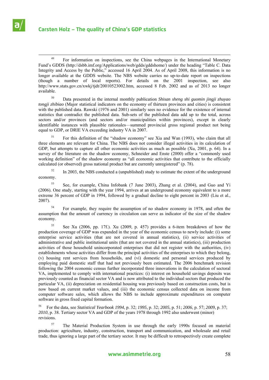

<sup>49</sup> For information on inspections, see the China webpages in the International Monetary Fund's GDDS (http://dsbb.imf.org/Applications/web/gdds/gddshome/) under the heading "Table C. Data Integrity and Access by the Public," accessed 16 April 2004. As of April 2008, this information is no longer available at the GDDS website. The NBS website carries no up-to-date report on inspections (though a number of local reports). For details on the 2001 inspection, see also http://www.stats.gov.cn/xwkj/tjdt/20010523002.htm, accessed 8 Feb. 2002 and as of 2013 no longer available.

50 Data presented in the internal monthly publication *Shisan sheng shi guomin jingji zhuyao tongji zhibiao* (Major statistical indicators on the economy of thirteen provinces and cities) is consistent with the published data. Rawski (1976 and 2001) similarly sees no evidence for the existence of internal statistics that contradict the published data. Sub-sets of the published data add up to the total, across sectors and/or provinces (and sectors and/or municipalities within provinces), except in clearly identifiable instances with plausible rationales—summed provincial gross regional product not being equal to GDP, or DRIE VA exceeding industry VA in 2007.

51 For this definition of the "shadow economy" see Xia and Wan (1993), who claim that all three elements are relevant for China. The NBS does not consider illegal activities in its calculation of GDP, but attempts to capture all other economic activities as much as possible (Xu, 2001, p. 64). In a survey of the literature on the shadow economy, Schneider and Enste (2000) offer a "commonly used working definition" of the shadow economy as "all economic activities that contribute to the officially calculated (or observed) gross national product but are currently unregistered" (p. 78).

 $52$  In 2003, the NBS conducted a (unpublished) study to estimate the extent of the underground economy.

53 See, for example, China Infobank (7 June 2003), Zhang et al. (2004), and Guo and Yi (2006). One study, starting with the year 1994, arrives at an underground economy equivalent to a more extreme 36 percent of GDP in 1994, followed by a gradual decline to eight percent in 2003 (Liu et al., 2007).

<sup>54</sup> For example, they require the assumption of no shadow economy in 1978, and often the assumption that the amount of currency in circulation can serve as indicator of the size of the shadow economy.

55 See Xu (2006, pp. 17f.). Xu (2009, p. 457) provides a 6-item breakdown of how the production coverage of GDP was expanded in the year of the economic census to newly include: (i) some enterprise service activities (that are not covered in annual statistics), (ii) service activities of administrative and public institutional units (that are not covered in the annual statistics), (iii) production activities of those household unincorporated enterprises that did not register with the authorities, (iv) establishments whose activities differ from the principal activities of the enterprises to which they belong, (v) housing rent services from households, and (vi) domestic and personal services produced by employing paid domestic staff that had not previously been estimated. The 2006 benchmark revision following the 2004 economic census further incorporated three innovations in the calculation of sectoral VA, implemented to comply with international practices: (i) interest on household savings deposits was previously counted as financial sector VA and is now attributed to the individual sectors that produced the particular VA, (ii) depreciation on residential housing was previously based on construction costs, but is now based on current market values, and (iii) the economic census collected data on income from computer software sales, which allows the NBS to include approximate expenditures on computer software in gross fixed capital formation.

56 For the data, see *Statistical Yearbook 1994*, p. 32; *1995*, p. 32; *2005*, p. 51; *2006*, p. 57; *2009*, p. 37; *2010*, p. 38. Tertiary sector VA and GDP of the years 1978 through 1992 also underwent (minor) revisions.

57 The Material Production System in use through the early 1990s focused on material production: agriculture, industry, construction, transport and communication, and wholesale and retail trade, thus ignoring a large part of the tertiary sector. It may be difficult to retrospectively create complete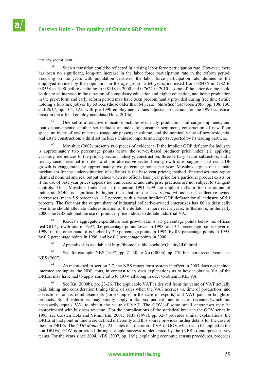

tertiary sector data.

<sup>58</sup> Such a transition could be reflected in a rising labor force participation rate. However, there has been no significant, long-run increase in the labor force participation rate in the reform period. Focusing on the years with population censuses, the labor force participation rate, defined as the employed divided by the population in the age group 15-64 years, increased from 0.8486 in 1982 to 0.8558 in 1990 before declining to 0.8118 in 2000 and 0.7622 in 2010—some of the latter decline could be due to an increase in the duration of compulsory education and higher education, and home production in the pre-reform and early reform period may have been predominantly provided during free time (while holding a full-time job) or by retirees (those older than 64 years). *Statistical Yearbook 2007*, pp. 108, 130, and *2012*, pp. 105, 125, with pre-1990 employment values adjusted to account for the 1990 statistical break in the official employment data (Holz, 2013c).

59 One set of alternative indicators includes electricity production, rail cargo shipments, and loan disbursements; another set includes an index of consumer sentiment, construction of new floor space, an index of raw materials usage, air passenger volume, and the nominal value of new residential real estate construction; a third set includes Chinese imports and exports reported by its trading partners.

Movshuk (2002) presents two pieces of evidence: (i) the implicit GDP deflator for industry is approximately two percentage points below the survey-based producer price index; (ii) applying various price indices to the primary sector, industry, construction, three tertiary sector subsectors, and a tertiary sector residual in order to obtain alternative sectoral real growth rates suggests that real GDP growth is exaggerated by approximately two percentage points per year. Movshuk argues that a main mechanism for the underestimation of deflators is the base year pricing method. Enterprises may report identical nominal and real output values when no official base year price for a particular product exists, or if the use of base year prices appears too cumbersome and enterprise practices are not subject to stringent controls. Thus, Movshuk finds that in the period 1991-1999 the implicit deflator for the output of industrial SOEs is significantly higher than that of the *less regulated* industrial collective-owned enterprises (mean 5.5 percent vs. 1.7 percent, with a mean implicit GDP deflator for all industry of 5.1 percent). The fact that the output share of industrial collective-owned enterprises has fallen drastically over time should alleviate underestimation of the deflator in more recent years; furthermore, in the early 2000s the NBS adopted the use of producer price indices to deflate industrial VA.

 $61$  Keidel's aggregate expenditure real growth rate is 1.5 percentage points below the official real GDP growth rate in 1997, 0.6 percentage points lower in 1998, and 3.1 percentage points lower in 1999; on the other hand, it is higher by 2.0 percentage points in 1994, by 0.9 percentage points in 1995, by 0.2 percentage points in 1996, and by 0.8 percentage points in 2000.

 $62$  Appendix A is available at http://ihome.ust.hk/~socholz/QualityGDP.html.

 $63$  See, for example, NBS (1997), pp. 21-30, or Xu (2000b), pp. 75f. For more recent years, see NBS (2007).

<sup>64</sup> As mentioned in section 2.7, the NBS report form system in effect in 2003 does not include intermediate inputs. the NBS, thus, in contrast to its own explanations as to how it obtains VA of the DRIEs, may have had to apply some ratio to GOV all along in oder to obtain DRIE VA.

65 See Xu (2000b), pp. 23-26. The applicable VAT is derived from the value of VAT actually paid, taking into consideration timing (time of sales when the VAT accrues vs. time of production) and corrections for tax reimbursements (for example, in the case of exports) and VAT paid on bought-in products. Small enterprises may simply apply a flat six percent rate to sales revenue (which not necessarily equals VA) to obtain the value of VAT. The GOV of some small enterprises may be approximated with business revenue. (For the complications of the statistical break in the GOV series in 1995, see Carsten Holz and Yi-min Lin, 2001.) NBS (1997), pp. 32-7 provides similar explanations: the DRIEs at that point in time were defined differently and this source provides further details for the case of the non-DRIEs. The *GDP Manual*, p. 21, states that the ratio of VA to GOV which is to be applied to the non-DRIEs' GOV is provided through sample surveys implemented by the (NBS's) enterprise survey teams. For the years since 2004, NBS (2007, pp. 16f.), explaining economic census procedures, procedes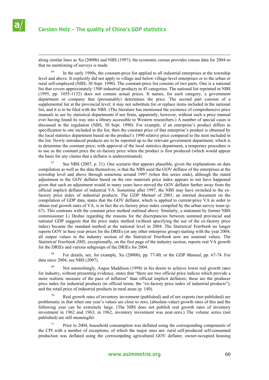

 along similar lines as Xu (2000b) and NBS (1997); the economic census provides census data for 2004 so that no mentioning of surveys is made.

<sup>66</sup> In the early 1990s, the constant-price list applied to all industrial enterprises at the township level and above. It explicitly did not apply to village and below village-level enterprises or to the urban or rural self-employed (NBS, 30 Sept. 1990). The constant-price list consists of two parts. One is a national list that covers approximately 1500 industrial products in 45 categories. The national list reprinted in NBS (1995, pp. 1055-1132) does not contain actual prices. It names, for each category, a government department or company that (presumably) determines the price. The second part consists of a supplemental list at the provincial level; it may not substitute for or replace items included in the national list, and it is to be filed with the NBS. (The literature has mentioned the existence of comprehensive price manuals in use by statistical departments if not firms, apparently, however, without such a price manual ever having found its way into a library accessible to Western researchers.) A number of special cases is discussed in the regulation (NBS, 30 Sept. 1990). For example, if an enterprise's product differs in specification to one included in the list, then the constant price of that enterprise's product is obtained by the local statistics department based on the product's 1990 relative price compared to the item included in the list. Newly introduced products are to be reported up to the relevant government department, which is to determine the constant price; with approval of the local statistics department, a temporary procedure is to use as the constant price the ex-factory price when the product is first produced (which would appear the basis for any claims that a deflator is underestimated).

See NBS (2007, p. 21). One scenario that appears plausible, given the explanations on data compilation as well as the data themselves, is that the NBS used the GOV deflator of the enterprises at the township level and above through sometime around 1997 (when this series ends), although the stated adjustment to the GOV deflator based on the raw materials price index appears to not have happened given that such an adjustment would in many years have moved the GOV deflator further away from the official implicit deflator of industrial VA. Sometime after 1997, the NBS may have switched to the exfactory price index of industrial products. The *GDP Manual* of 2001, an internal document on the compilation of GDP data, states that the GOV deflator, which is applied to current-price VA in order to obtain real growth rates of VA, is in fact the ex-factory price index compiled by the urban survey team (p. 67). This contrasts with the constant price method outlined above. Similarly, a statement by former NBS commissioner Li Deshui regarding the reasons for the discrepancies between summed provincial and national GDP suggests that the price index method (without specifying the use of the ex-factory price index) became the standard method at the national level in 2004. The *Statistical Yearbook* no longer reports GOV in base year prices for the DRIEs (or any other enterprise group) starting with the year 2004; all output values in the industry section of the *Statistical Yearbook* now are nominal values. The *Statistical Yearbook 2005*, exceptionally, on the first page of the industry section, reports real VA growth for the DRIEs and various subgroups of the DRIEs for 2004.

68 For details, see, for example, Xu (2000b), pp. 77-80, or the *GDP Manual*, pp. 67-74. For data since 2004, see NBS (2007).

<sup>69</sup> Not astonishingly, Angus Maddison (1998) in his desire to achieve lower real growth rates for industry, without presenting evidence, states that "there are two official price indices which provide a more realistic measure of the pace of inflation" than official implicit deflators; these are the producer price index for industrial products (in official terms, the "ex-factory price index of industrial products"), and the retail price of industrial products in rural areas (p. 140).

 $70$  Real growth rates of inventory investment (published) and of net exports (not published) are problematic in that when one year's values are close to zero, (absolute-value) growth rates of this and the following year can be extremely large. (The NBS does not publish real growth rates of inventory investment in 1962 and 1963; in 1962, inventory investment was near-zero.) The volume series (not published) are still meaningful.

Prior to 2004, household consumption was deflated using the corresponding components of the CPI with a number of exceptions, of which the major ones are: rural self-produced self-consumed production was deflated using the corresonpding agricultural GOV deflator, owner-occupied housing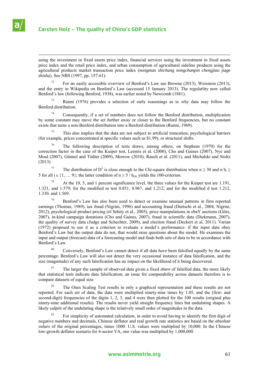

 using the investment in fixed assets price index, financial services using the investment in fixed assets price index and the retail price index, and urban consumption of agricultural sideline products using the agricultural products market transaction price index (*nongmao shichang nongchanpin chengjiao jiage zhishu*). See NBS (1997, pp. 157-61).

<sup>72</sup> For an easily accessible overview of Benford's Law see Browne (2013), Weisstein (2013), and the entry in Wikipedia on Benford's Law (accessed 15 January 2013). The regularlity now called Benford's law (following Benford, 1938), was earlier noted by Newcomb (1881).

73 Raimi (1976) provides a selection of early reasonings as to why data may follow the Benford distribution.

74 Consequently, if a set of numbers does not follow the Benford distribution, multiplication by some constant may move the set further away or closer to the Benford frequencies, but no constant exists that turns a non-Benford distribution into a Benford distribution (Raimi, 1969).

This also implies that the data are not subject to artificial truncation, psychological barriers (for example, prices concentrated at specific values such as \$1.99), or structural shifts.

<sup>76</sup> The following description of tests draws, among others, on Stephens (1970) for the correction factor in the case of the Kuiper test, Leemis et al. (2000), Cho and Gaines (2007), Nye and Moul (2007), Günnel and Tödter (2009), Morrow (2010), Rauch et al. (2011), and Michalski and Stoltz (2013).

<sup>77</sup> The distribution of D<sup>2</sup> is close enough to the Chi-square distribution when  $n \ge 30$  and  $n h_i \ge$ 5 for all i  $\epsilon$  {1, ... 9}; the latter condition of  $n \ge 5 / h_{(9)}$  yields the 100-criterion.

At the 10, 5, and 1 percent significance level, the three values for the Kuiper test are 1.191, 1.321, and 1.579; for the modified m test 0.851, 0.967, and 1.212; and for the modified d test 1.212, 1.330, and 1.569.

79 Benford's Law has also been used to detect or examine unusual patterns in firm reported earnings (Thomas, 1989), tax fraud (Nigrini, 1996) and accounting fraud (Durtschi et al., 2004, Nigrini, 2012), psychological product pricing (el Sehity et al., 2005), price manipulations in ebaY auctions (Giles, 2007), in-kind campaign donations (Cho and Gaines, 2007), fraud in scientific data (Diekmann, 2007), the quality of survey data (Judge and Schechter, 2009), and election fraud (Deckert et al, 2011). Varian (1972) proposed to use it as a criterion to evaluate a model's performance: if the input data obey Benford's Law but the output data do not, that would raise questions about the model. He examines the input and output (forecast) data of a forecasting model and finds both sets of data to be in accordance with Benford's Law.

<sup>80</sup> Conversely, Benford's Law cannot detect if all data have been falsified equally by the same percentage. Benford's Law will also not detect the very occasional instance of data falsification, and the size (magnitude) of any such falsification has no impact on the likelihood of it being discovered.

81 The larger the sample of observed data given a fixed *share* of falsified data, the more likely that statistical tests indicate data falsification; an issue for comparability across datasets therefore is to compare datasets of equal size.

<sup>82</sup> The Ones Scaling Test results in only a graphical representation and these results are not reported. For each set of data, the data were multiplied ninety-nine times by 1.05, and the (first- and second-digit) frequencies of the digits 1, 2, 3, and 4 were then plotted for the 100 results (original plus ninety-nine additional results). The results never yield straight frequency lines but undulating shapes. A likely culprit of the undulating shape is the relatively small order of magnitudes in the data.

<sup>83</sup> For simplicity of automated calculation, in order to avoid having to identify the first digit of negative numbers and decimals, Chinese deflator and real growth rate statistics are based on the *absolute values* of the original percentages, times 1000. U.S. values were multiplied by 10,000. In the Chinese low-growth deflator scenario for 4-sector VA, one value was multiplied by 1,000,000.